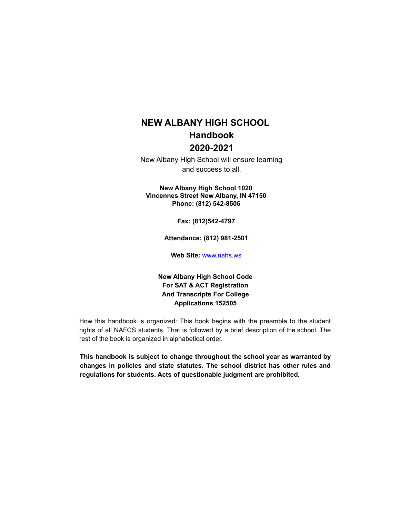# **NEW ALBANY HIGH SCHOOL Handbook 2020-2021**

New Albany High School will ensure learning and success to all.

**New Albany High School 1020 Vincennes Street New Albany, IN 47150 Phone: (812) 542-8506**

**Fax: (812)542-4797**

**Attendance: (812) 981-2501**

**Web Site:** www.nahs.ws

**New Albany High School Code For SAT & ACT Registration And Transcripts For College Applications 152505**

How this handbook is organized: This book begins with the preamble to the student rights of all NAFCS students. That is followed by a brief description of the school. The rest of the book is organized in alphabetical order.

**This handbook is subject to change throughout the school year as warranted by changes in policies and state statutes. The school district has other rules and regulations for students. Acts of questionable judgment are prohibited.**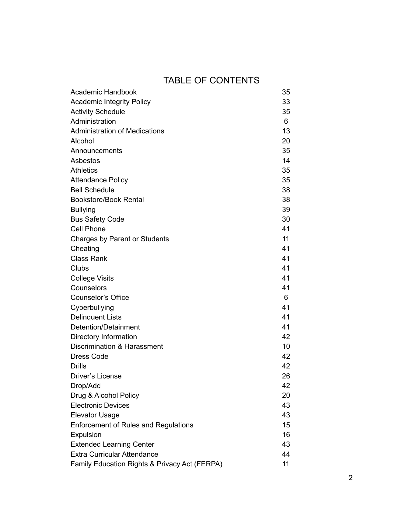# TABLE OF CONTENTS

| <b>Academic Handbook</b>                      | 35 |
|-----------------------------------------------|----|
| <b>Academic Integrity Policy</b>              | 33 |
| <b>Activity Schedule</b>                      | 35 |
| Administration                                | 6  |
| <b>Administration of Medications</b>          | 13 |
| Alcohol                                       | 20 |
| Announcements                                 | 35 |
| Asbestos                                      | 14 |
| <b>Athletics</b>                              | 35 |
| <b>Attendance Policy</b>                      | 35 |
| <b>Bell Schedule</b>                          | 38 |
| <b>Bookstore/Book Rental</b>                  | 38 |
| <b>Bullying</b>                               | 39 |
| <b>Bus Safety Code</b>                        | 30 |
| Cell Phone                                    | 41 |
| Charges by Parent or Students                 | 11 |
| Cheating                                      | 41 |
| <b>Class Rank</b>                             | 41 |
| Clubs                                         | 41 |
| <b>College Visits</b>                         | 41 |
| Counselors                                    | 41 |
| <b>Counselor's Office</b>                     | 6  |
| Cyberbullying                                 | 41 |
| <b>Delinquent Lists</b>                       | 41 |
| Detention/Detainment                          | 41 |
| Directory Information                         | 42 |
| Discrimination & Harassment                   | 10 |
| <b>Dress Code</b>                             | 42 |
| <b>Drills</b>                                 | 42 |
| <b>Driver's License</b>                       | 26 |
| Drop/Add                                      | 42 |
| Drug & Alcohol Policy                         | 20 |
| <b>Electronic Devices</b>                     | 43 |
| <b>Elevator Usage</b>                         | 43 |
| <b>Enforcement of Rules and Regulations</b>   | 15 |
| Expulsion                                     | 16 |
| <b>Extended Learning Center</b>               | 43 |
| <b>Extra Curricular Attendance</b>            | 44 |
| Family Education Rights & Privacy Act (FERPA) | 11 |
|                                               |    |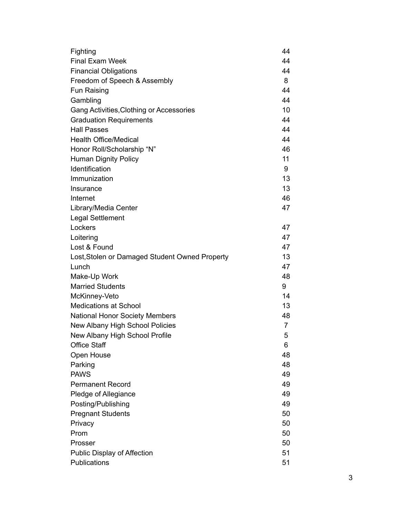| Fighting                                       | 44             |
|------------------------------------------------|----------------|
| <b>Final Exam Week</b>                         | 44             |
| <b>Financial Obligations</b>                   | 44             |
| Freedom of Speech & Assembly                   | 8              |
| Fun Raising                                    | 44             |
| Gambling                                       | 44             |
| Gang Activities, Clothing or Accessories       | 10             |
| <b>Graduation Requirements</b>                 | 44             |
| <b>Hall Passes</b>                             | 44             |
| <b>Health Office/Medical</b>                   | 44             |
| Honor Roll/Scholarship "N"                     | 46             |
| <b>Human Dignity Policy</b>                    | 11             |
| Identification                                 | 9              |
| Immunization                                   | 13             |
| Insurance                                      | 13             |
| Internet                                       | 46             |
| Library/Media Center                           | 47             |
| <b>Legal Settlement</b>                        |                |
| Lockers                                        | 47             |
| Loitering                                      | 47             |
| Lost & Found                                   | 47             |
| Lost, Stolen or Damaged Student Owned Property | 13             |
| Lunch                                          | 47             |
| Make-Up Work                                   | 48             |
| <b>Married Students</b>                        | 9              |
| McKinney-Veto                                  | 14             |
| <b>Medications at School</b>                   | 13             |
| <b>National Honor Society Members</b>          | 48             |
| New Albany High School Policies                | $\overline{7}$ |
| New Albany High School Profile                 | 5              |
| <b>Office Staff</b>                            | 6              |
| Open House                                     | 48             |
| Parking                                        | 48             |
| <b>PAWS</b>                                    | 49             |
| <b>Permanent Record</b>                        | 49             |
| Pledge of Allegiance                           | 49             |
| Posting/Publishing                             | 49             |
| <b>Pregnant Students</b>                       | 50             |
| Privacy                                        | 50             |
| Prom                                           | 50             |
| Prosser                                        | 50             |
| <b>Public Display of Affection</b>             | 51             |
| Publications                                   | 51             |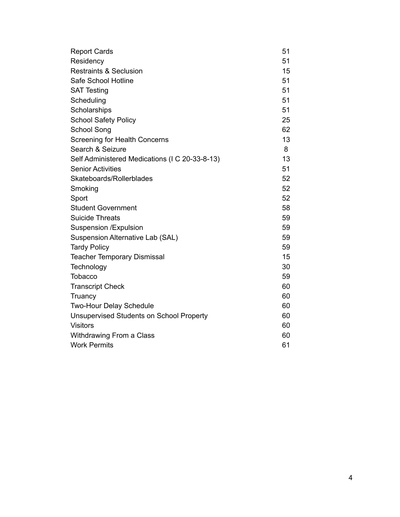| <b>Report Cards</b>                             | 51 |
|-------------------------------------------------|----|
| Residency                                       | 51 |
| <b>Restraints &amp; Seclusion</b>               | 15 |
| Safe School Hotline                             | 51 |
| <b>SAT Testing</b>                              | 51 |
| Scheduling                                      | 51 |
| Scholarships                                    | 51 |
| <b>School Safety Policy</b>                     | 25 |
| <b>School Song</b>                              | 62 |
| <b>Screening for Health Concerns</b>            | 13 |
| Search & Seizure                                | 8  |
| Self Administered Medications (I C 20-33-8-13)  | 13 |
| <b>Senior Activities</b>                        | 51 |
| Skateboards/Rollerblades                        | 52 |
| Smoking                                         | 52 |
| Sport                                           | 52 |
| <b>Student Government</b>                       | 58 |
| <b>Suicide Threats</b>                          | 59 |
| <b>Suspension /Expulsion</b>                    | 59 |
| Suspension Alternative Lab (SAL)                | 59 |
| <b>Tardy Policy</b>                             | 59 |
| <b>Teacher Temporary Dismissal</b>              | 15 |
| Technology                                      | 30 |
| <b>Tobacco</b>                                  | 59 |
| <b>Transcript Check</b>                         | 60 |
| Truancy                                         | 60 |
| Two-Hour Delay Schedule                         | 60 |
| <b>Unsupervised Students on School Property</b> | 60 |
| <b>Visitors</b>                                 | 60 |
| Withdrawing From a Class                        | 60 |
| <b>Work Permits</b>                             | 61 |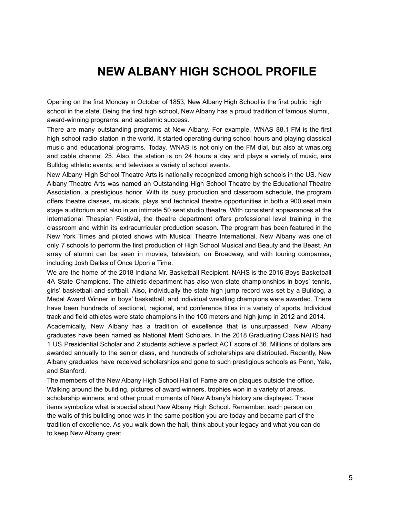# **NEW ALBANY HIGH SCHOOL PROFILE**

Opening on the first Monday in October of 1853, New Albany High School is the first public high school in the state. Being the first high school, New Albany has a proud tradition of famous alumni, award-winning programs, and academic success.

There are many outstanding programs at New Albany. For example, WNAS 88.1 FM is the first high school radio station in the world. It started operating during school hours and playing classical music and educational programs. Today, WNAS is not only on the FM dial, but also at wnas.org and cable channel 25. Also, the station is on 24 hours a day and plays a variety of music, airs Bulldog athletic events, and televises a variety of school events.

New Albany High School Theatre Arts is nationally recognized among high schools in the US. New Albany Theatre Arts was named an Outstanding High School Theatre by the Educational Theatre Association, a prestigious honor. With its busy production and classroom schedule, the program offers theatre classes, musicals, plays and technical theatre opportunities in both a 900 seat main stage auditorium and also in an intimate 50 seat studio theatre. With consistent appearances at the International Thespian Festival, the theatre department offers professional level training in the classroom and within its extracurricular production season. The program has been featured in the New York Times and piloted shows with Musical Theatre International. New Albany was one of only 7 schools to perform the first production of High School Musical and Beauty and the Beast. An array of alumni can be seen in movies, television, on Broadway, and with touring companies, including Josh Dallas of Once Upon a Time.

We are the home of the 2018 Indiana Mr. Basketball Recipient. NAHS is the 2016 Boys Basketball 4A State Champions. The athletic department has also won state championships in boys' tennis, girls' basketball and softball. Also, individually the state high jump record was set by a Bulldog, a Medal Award Winner in boys' basketball, and individual wrestling champions were awarded. There have been hundreds of sectional, regional, and conference titles in a variety of sports. Individual track and field athletes were state champions in the 100 meters and high jump in 2012 and 2014.

Academically, New Albany has a tradition of excellence that is unsurpassed. New Albany graduates have been named as National Merit Scholars. In the 2018 Graduating Class NAHS had 1 US Presidential Scholar and 2 students achieve a perfect ACT score of 36. Millions of dollars are awarded annually to the senior class, and hundreds of scholarships are distributed. Recently, New Albany graduates have received scholarships and gone to such prestigious schools as Penn, Yale, and Stanford.

The members of the New Albany High School Hall of Fame are on plaques outside the office. Walking around the building, pictures of award winners, trophies won in a variety of areas, scholarship winners, and other proud moments of New Albany's history are displayed. These items symbolize what is special about New Albany High School. Remember, each person on the walls of this building once was in the same position you are today and became part of the tradition of excellence. As you walk down the hall, think about your legacy and what you can do to keep New Albany great.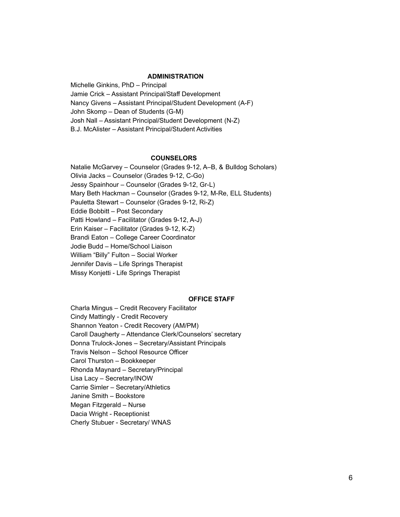#### **ADMINISTRATION**

Michelle Ginkins, PhD – Principal Jamie Crick – Assistant Principal/Staff Development Nancy Givens – Assistant Principal/Student Development (A-F) John Skomp – Dean of Students (G-M) Josh Nall – Assistant Principal/Student Development (N-Z) B.J. McAlister – Assistant Principal/Student Activities

#### **COUNSELORS**

Natalie McGarvey – Counselor (Grades 9-12, A–B, & Bulldog Scholars) Olivia Jacks – Counselor (Grades 9-12, C-Go) Jessy Spainhour – Counselor (Grades 9-12, Gr-L) Mary Beth Hackman – Counselor (Grades 9-12, M-Re, ELL Students) Pauletta Stewart – Counselor (Grades 9-12, Ri-Z) Eddie Bobbitt – Post Secondary Patti Howland – Facilitator (Grades 9-12, A-J) Erin Kaiser – Facilitator (Grades 9-12, K-Z) Brandi Eaton – College Career Coordinator Jodie Budd – Home/School Liaison William "Billy" Fulton – Social Worker Jennifer Davis – Life Springs Therapist Missy Konjetti - Life Springs Therapist

#### **OFFICE STAFF**

Charla Mingus – Credit Recovery Facilitator Cindy Mattingly - Credit Recovery Shannon Yeaton - Credit Recovery (AM/PM) Caroll Daugherty – Attendance Clerk/Counselors' secretary Donna Trulock-Jones – Secretary/Assistant Principals Travis Nelson – School Resource Officer Carol Thurston – Bookkeeper Rhonda Maynard – Secretary/Principal Lisa Lacy – Secretary/INOW Carrie Simler – Secretary/Athletics Janine Smith – Bookstore Megan Fitzgerald – Nurse Dacia Wright - Receptionist Cherly Stubuer - Secretary/ WNAS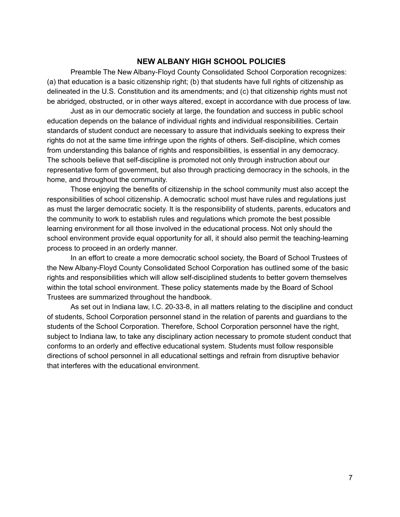#### **NEW ALBANY HIGH SCHOOL POLICIES**

Preamble The New Albany-Floyd County Consolidated School Corporation recognizes: (a) that education is a basic citizenship right; (b) that students have full rights of citizenship as delineated in the U.S. Constitution and its amendments; and (c) that citizenship rights must not be abridged, obstructed, or in other ways altered, except in accordance with due process of law.

Just as in our democratic society at large, the foundation and success in public school education depends on the balance of individual rights and individual responsibilities. Certain standards of student conduct are necessary to assure that individuals seeking to express their rights do not at the same time infringe upon the rights of others. Self-discipline, which comes from understanding this balance of rights and responsibilities, is essential in any democracy. The schools believe that self-discipline is promoted not only through instruction about our representative form of government, but also through practicing democracy in the schools, in the home, and throughout the community.

Those enjoying the benefits of citizenship in the school community must also accept the responsibilities of school citizenship. A democratic school must have rules and regulations just as must the larger democratic society. It is the responsibility of students, parents, educators and the community to work to establish rules and regulations which promote the best possible learning environment for all those involved in the educational process. Not only should the school environment provide equal opportunity for all, it should also permit the teaching-learning process to proceed in an orderly manner.

In an effort to create a more democratic school society, the Board of School Trustees of the New Albany-Floyd County Consolidated School Corporation has outlined some of the basic rights and responsibilities which will allow self-disciplined students to better govern themselves within the total school environment. These policy statements made by the Board of School Trustees are summarized throughout the handbook.

As set out in Indiana law, I.C. 20-33-8, in all matters relating to the discipline and conduct of students, School Corporation personnel stand in the relation of parents and guardians to the students of the School Corporation. Therefore, School Corporation personnel have the right, subject to Indiana law, to take any disciplinary action necessary to promote student conduct that conforms to an orderly and effective educational system. Students must follow responsible directions of school personnel in all educational settings and refrain from disruptive behavior that interferes with the educational environment.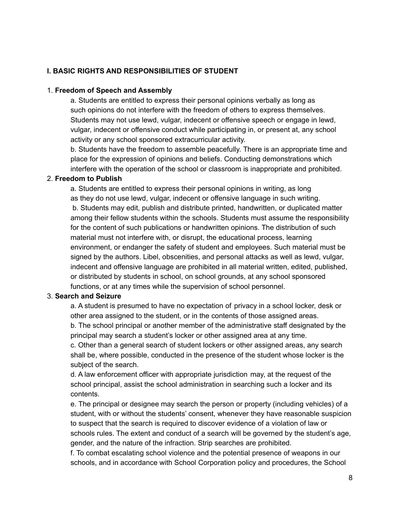### **I. BASIC RIGHTS AND RESPONSIBILITIES OF STUDENT**

#### 1. **Freedom of Speech and Assembly**

a. Students are entitled to express their personal opinions verbally as long as such opinions do not interfere with the freedom of others to express themselves. Students may not use lewd, vulgar, indecent or offensive speech or engage in lewd, vulgar, indecent or offensive conduct while participating in, or present at, any school activity or any school sponsored extracurricular activity.

b. Students have the freedom to assemble peacefully. There is an appropriate time and place for the expression of opinions and beliefs. Conducting demonstrations which interfere with the operation of the school or classroom is inappropriate and prohibited.

#### 2. **Freedom to Publish**

a. Students are entitled to express their personal opinions in writing, as long as they do not use lewd, vulgar, indecent or offensive language in such writing. b. Students may edit, publish and distribute printed, handwritten, or duplicated matter among their fellow students within the schools. Students must assume the responsibility for the content of such publications or handwritten opinions. The distribution of such material must not interfere with, or disrupt, the educational process, learning environment, or endanger the safety of student and employees. Such material must be signed by the authors. Libel, obscenities, and personal attacks as well as lewd, vulgar, indecent and offensive language are prohibited in all material written, edited, published, or distributed by students in school, on school grounds, at any school sponsored functions, or at any times while the supervision of school personnel.

### 3. **Search and Seizure**

a. A student is presumed to have no expectation of privacy in a school locker, desk or other area assigned to the student, or in the contents of those assigned areas.

b. The school principal or another member of the administrative staff designated by the principal may search a student's locker or other assigned area at any time.

c. Other than a general search of student lockers or other assigned areas, any search shall be, where possible, conducted in the presence of the student whose locker is the subject of the search.

d. A law enforcement officer with appropriate jurisdiction may, at the request of the school principal, assist the school administration in searching such a locker and its contents.

e. The principal or designee may search the person or property (including vehicles) of a student, with or without the students' consent, whenever they have reasonable suspicion to suspect that the search is required to discover evidence of a violation of law or schools rules. The extent and conduct of a search will be governed by the student's age, gender, and the nature of the infraction. Strip searches are prohibited.

f. To combat escalating school violence and the potential presence of weapons in our schools, and in accordance with School Corporation policy and procedures, the School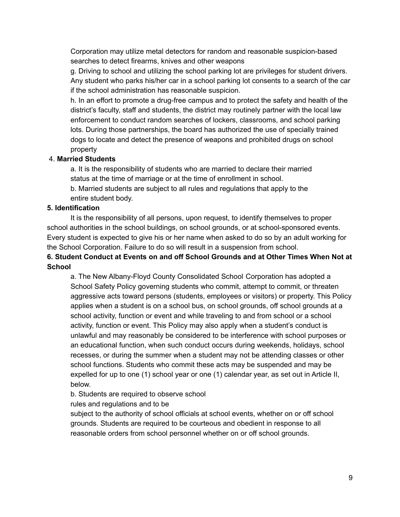Corporation may utilize metal detectors for random and reasonable suspicion-based searches to detect firearms, knives and other weapons

g. Driving to school and utilizing the school parking lot are privileges for student drivers. Any student who parks his/her car in a school parking lot consents to a search of the car if the school administration has reasonable suspicion.

h. In an effort to promote a drug-free campus and to protect the safety and health of the district's faculty, staff and students, the district may routinely partner with the local law enforcement to conduct random searches of lockers, classrooms, and school parking lots. During those partnerships, the board has authorized the use of specially trained dogs to locate and detect the presence of weapons and prohibited drugs on school property

### 4. **Married Students**

a. It is the responsibility of students who are married to declare their married status at the time of marriage or at the time of enrollment in school.

b. Married students are subject to all rules and regulations that apply to the entire student body.

## **5. Identification**

It is the responsibility of all persons, upon request, to identify themselves to proper school authorities in the school buildings, on school grounds, or at school-sponsored events. Every student is expected to give his or her name when asked to do so by an adult working for the School Corporation. Failure to do so will result in a suspension from school.

## **6. Student Conduct at Events on and off School Grounds and at Other Times When Not at School**

a. The New Albany-Floyd County Consolidated School Corporation has adopted a School Safety Policy governing students who commit, attempt to commit, or threaten aggressive acts toward persons (students, employees or visitors) or property. This Policy applies when a student is on a school bus, on school grounds, off school grounds at a school activity, function or event and while traveling to and from school or a school activity, function or event. This Policy may also apply when a student's conduct is unlawful and may reasonably be considered to be interference with school purposes or an educational function, when such conduct occurs during weekends, holidays, school recesses, or during the summer when a student may not be attending classes or other school functions. Students who commit these acts may be suspended and may be expelled for up to one (1) school year or one (1) calendar year, as set out in Article II, below.

b. Students are required to observe school

rules and regulations and to be

subject to the authority of school officials at school events, whether on or off school grounds. Students are required to be courteous and obedient in response to all reasonable orders from school personnel whether on or off school grounds.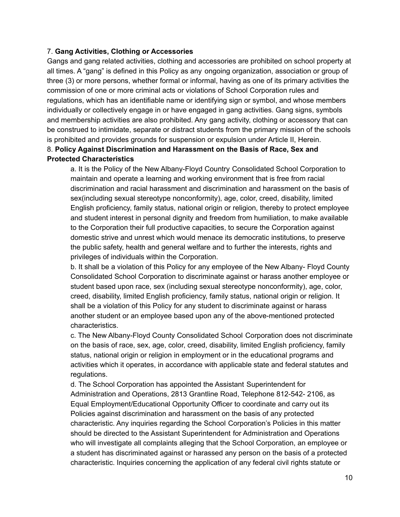#### 7. **Gang Activities, Clothing or Accessories**

Gangs and gang related activities, clothing and accessories are prohibited on school property at all times. A "gang" is defined in this Policy as any ongoing organization, association or group of three (3) or more persons, whether formal or informal, having as one of its primary activities the commission of one or more criminal acts or violations of School Corporation rules and regulations, which has an identifiable name or identifying sign or symbol, and whose members individually or collectively engage in or have engaged in gang activities. Gang signs, symbols and membership activities are also prohibited. Any gang activity, clothing or accessory that can be construed to intimidate, separate or distract students from the primary mission of the schools is prohibited and provides grounds for suspension or expulsion under Article II, Herein. 8. **Policy Against Discrimination and Harassment on the Basis of Race, Sex and Protected Characteristics**

a. It is the Policy of the New Albany-Floyd Country Consolidated School Corporation to maintain and operate a learning and working environment that is free from racial discrimination and racial harassment and discrimination and harassment on the basis of sex(including sexual stereotype nonconformity), age, color, creed, disability, limited English proficiency, family status, national origin or religion, thereby to protect employee and student interest in personal dignity and freedom from humiliation, to make available to the Corporation their full productive capacities, to secure the Corporation against domestic strive and unrest which would menace its democratic institutions, to preserve the public safety, health and general welfare and to further the interests, rights and privileges of individuals within the Corporation.

b. It shall be a violation of this Policy for any employee of the New Albany- Floyd County Consolidated School Corporation to discriminate against or harass another employee or student based upon race, sex (including sexual stereotype nonconformity), age, color, creed, disability, limited English proficiency, family status, national origin or religion. It shall be a violation of this Policy for any student to discriminate against or harass another student or an employee based upon any of the above-mentioned protected characteristics.

c. The New Albany-Floyd County Consolidated School Corporation does not discriminate on the basis of race, sex, age, color, creed, disability, limited English proficiency, family status, national origin or religion in employment or in the educational programs and activities which it operates, in accordance with applicable state and federal statutes and regulations.

d. The School Corporation has appointed the Assistant Superintendent for Administration and Operations, 2813 Grantline Road, Telephone 812-542- 2106, as Equal Employment/Educational Opportunity Officer to coordinate and carry out its Policies against discrimination and harassment on the basis of any protected characteristic. Any inquiries regarding the School Corporation's Policies in this matter should be directed to the Assistant Superintendent for Administration and Operations who will investigate all complaints alleging that the School Corporation, an employee or a student has discriminated against or harassed any person on the basis of a protected characteristic. Inquiries concerning the application of any federal civil rights statute or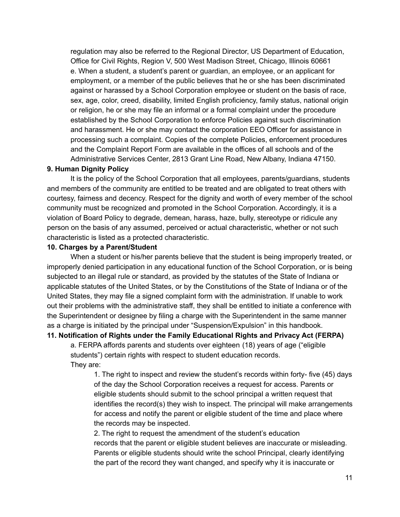regulation may also be referred to the Regional Director, US Department of Education, Office for Civil Rights, Region V, 500 West Madison Street, Chicago, Illinois 60661 e. When a student, a student's parent or guardian, an employee, or an applicant for employment, or a member of the public believes that he or she has been discriminated against or harassed by a School Corporation employee or student on the basis of race, sex, age, color, creed, disability, limited English proficiency, family status, national origin or religion, he or she may file an informal or a formal complaint under the procedure established by the School Corporation to enforce Policies against such discrimination and harassment. He or she may contact the corporation EEO Officer for assistance in processing such a complaint. Copies of the complete Policies, enforcement procedures and the Complaint Report Form are available in the offices of all schools and of the Administrative Services Center, 2813 Grant Line Road, New Albany, Indiana 47150.

#### **9. Human Dignity Policy**

It is the policy of the School Corporation that all employees, parents/guardians, students and members of the community are entitled to be treated and are obligated to treat others with courtesy, fairness and decency. Respect for the dignity and worth of every member of the school community must be recognized and promoted in the School Corporation. Accordingly, it is a violation of Board Policy to degrade, demean, harass, haze, bully, stereotype or ridicule any person on the basis of any assumed, perceived or actual characteristic, whether or not such characteristic is listed as a protected characteristic.

#### **10. Charges by a Parent/Student**

When a student or his/her parents believe that the student is being improperly treated, or improperly denied participation in any educational function of the School Corporation, or is being subjected to an illegal rule or standard, as provided by the statutes of the State of Indiana or applicable statutes of the United States, or by the Constitutions of the State of Indiana or of the United States, they may file a signed complaint form with the administration. If unable to work out their problems with the administrative staff, they shall be entitled to initiate a conference with the Superintendent or designee by filing a charge with the Superintendent in the same manner as a charge is initiated by the principal under "Suspension/Expulsion" in this handbook.

#### **11. Notification of Rights under the Family Educational Rights and Privacy Act (FERPA)**

a. FERPA affords parents and students over eighteen (18) years of age ("eligible students") certain rights with respect to student education records. They are:

1. The right to inspect and review the student's records within forty- five (45) days of the day the School Corporation receives a request for access. Parents or eligible students should submit to the school principal a written request that identifies the record(s) they wish to inspect. The principal will make arrangements for access and notify the parent or eligible student of the time and place where the records may be inspected.

2. The right to request the amendment of the student's education records that the parent or eligible student believes are inaccurate or misleading. Parents or eligible students should write the school Principal, clearly identifying the part of the record they want changed, and specify why it is inaccurate or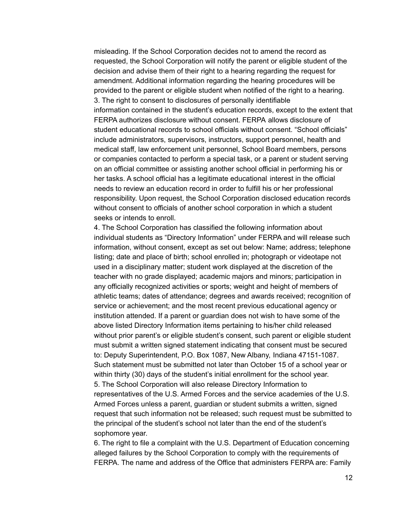misleading. If the School Corporation decides not to amend the record as requested, the School Corporation will notify the parent or eligible student of the decision and advise them of their right to a hearing regarding the request for amendment. Additional information regarding the hearing procedures will be provided to the parent or eligible student when notified of the right to a hearing. 3. The right to consent to disclosures of personally identifiable information contained in the student's education records, except to the extent that FERPA authorizes disclosure without consent. FERPA allows disclosure of student educational records to school officials without consent. "School officials" include administrators, supervisors, instructors, support personnel, health and medical staff, law enforcement unit personnel, School Board members, persons or companies contacted to perform a special task, or a parent or student serving on an official committee or assisting another school official in performing his or her tasks. A school official has a legitimate educational interest in the official needs to review an education record in order to fulfill his or her professional responsibility. Upon request, the School Corporation disclosed education records without consent to officials of another school corporation in which a student seeks or intends to enroll.

4. The School Corporation has classified the following information about individual students as "Directory Information" under FERPA and will release such information, without consent, except as set out below: Name; address; telephone listing; date and place of birth; school enrolled in; photograph or videotape not used in a disciplinary matter; student work displayed at the discretion of the teacher with no grade displayed; academic majors and minors; participation in any officially recognized activities or sports; weight and height of members of athletic teams; dates of attendance; degrees and awards received; recognition of service or achievement; and the most recent previous educational agency or institution attended. If a parent or guardian does not wish to have some of the above listed Directory Information items pertaining to his/her child released without prior parent's or eligible student's consent, such parent or eligible student must submit a written signed statement indicating that consent must be secured to: Deputy Superintendent, P.O. Box 1087, New Albany, Indiana 47151-1087. Such statement must be submitted not later than October 15 of a school year or within thirty (30) days of the student's initial enrollment for the school year. 5. The School Corporation will also release Directory Information to representatives of the U.S. Armed Forces and the service academies of the U.S. Armed Forces unless a parent, guardian or student submits a written, signed request that such information not be released; such request must be submitted to the principal of the student's school not later than the end of the student's sophomore year.

6. The right to file a complaint with the U.S. Department of Education concerning alleged failures by the School Corporation to comply with the requirements of FERPA. The name and address of the Office that administers FERPA are: Family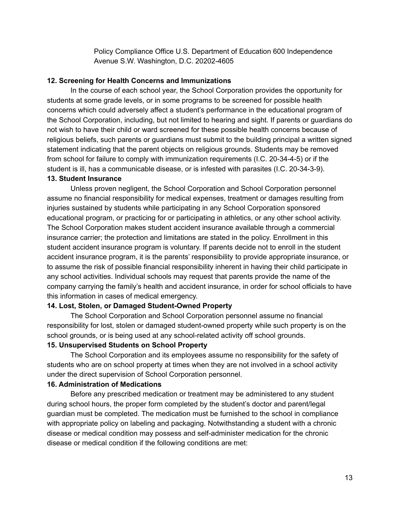Policy Compliance Office U.S. Department of Education 600 Independence Avenue S.W. Washington, D.C. 20202-4605

#### **12. Screening for Health Concerns and Immunizations**

In the course of each school year, the School Corporation provides the opportunity for students at some grade levels, or in some programs to be screened for possible health concerns which could adversely affect a student's performance in the educational program of the School Corporation, including, but not limited to hearing and sight. If parents or guardians do not wish to have their child or ward screened for these possible health concerns because of religious beliefs, such parents or guardians must submit to the building principal a written signed statement indicating that the parent objects on religious grounds. Students may be removed from school for failure to comply with immunization requirements (I.C. 20-34-4-5) or if the student is ill, has a communicable disease, or is infested with parasites (I.C. 20-34-3-9).

#### **13. Student Insurance**

Unless proven negligent, the School Corporation and School Corporation personnel assume no financial responsibility for medical expenses, treatment or damages resulting from injuries sustained by students while participating in any School Corporation sponsored educational program, or practicing for or participating in athletics, or any other school activity. The School Corporation makes student accident insurance available through a commercial insurance carrier; the protection and limitations are stated in the policy. Enrollment in this student accident insurance program is voluntary. If parents decide not to enroll in the student accident insurance program, it is the parents' responsibility to provide appropriate insurance, or to assume the risk of possible financial responsibility inherent in having their child participate in any school activities. Individual schools may request that parents provide the name of the company carrying the family's health and accident insurance, in order for school officials to have this information in cases of medical emergency.

#### **14. Lost, Stolen, or Damaged Student-Owned Property**

The School Corporation and School Corporation personnel assume no financial responsibility for lost, stolen or damaged student-owned property while such property is on the school grounds, or is being used at any school-related activity off school grounds.

#### **15. Unsupervised Students on School Property**

The School Corporation and its employees assume no responsibility for the safety of students who are on school property at times when they are not involved in a school activity under the direct supervision of School Corporation personnel.

#### **16. Administration of Medications**

Before any prescribed medication or treatment may be administered to any student during school hours, the proper form completed by the student's doctor and parent/legal guardian must be completed. The medication must be furnished to the school in compliance with appropriate policy on labeling and packaging. Notwithstanding a student with a chronic disease or medical condition may possess and self-administer medication for the chronic disease or medical condition if the following conditions are met: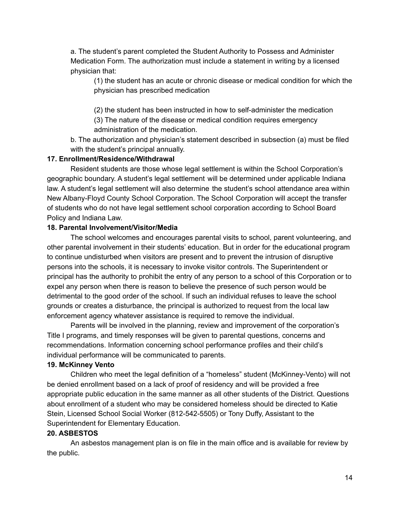a. The student's parent completed the Student Authority to Possess and Administer Medication Form. The authorization must include a statement in writing by a licensed physician that:

(1) the student has an acute or chronic disease or medical condition for which the physician has prescribed medication

(2) the student has been instructed in how to self-administer the medication

(3) The nature of the disease or medical condition requires emergency administration of the medication.

b. The authorization and physician's statement described in subsection (a) must be filed with the student's principal annually.

#### **17. Enrollment/Residence/Withdrawal**

Resident students are those whose legal settlement is within the School Corporation's geographic boundary. A student's legal settlement will be determined under applicable Indiana law. A student's legal settlement will also determine the student's school attendance area within New Albany-Floyd County School Corporation. The School Corporation will accept the transfer of students who do not have legal settlement school corporation according to School Board Policy and Indiana Law.

#### **18. Parental Involvement/Visitor/Media**

The school welcomes and encourages parental visits to school, parent volunteering, and other parental involvement in their students' education. But in order for the educational program to continue undisturbed when visitors are present and to prevent the intrusion of disruptive persons into the schools, it is necessary to invoke visitor controls. The Superintendent or principal has the authority to prohibit the entry of any person to a school of this Corporation or to expel any person when there is reason to believe the presence of such person would be detrimental to the good order of the school. If such an individual refuses to leave the school grounds or creates a disturbance, the principal is authorized to request from the local law enforcement agency whatever assistance is required to remove the individual.

Parents will be involved in the planning, review and improvement of the corporation's Title I programs, and timely responses will be given to parental questions, concerns and recommendations. Information concerning school performance profiles and their child's individual performance will be communicated to parents.

### **19. McKinney Vento**

Children who meet the legal definition of a "homeless" student (McKinney-Vento) will not be denied enrollment based on a lack of proof of residency and will be provided a free appropriate public education in the same manner as all other students of the District. Questions about enrollment of a student who may be considered homeless should be directed to Katie Stein, Licensed School Social Worker (812-542-5505) or Tony Duffy, Assistant to the Superintendent for Elementary Education.

### **20. ASBESTOS**

An asbestos management plan is on file in the main office and is available for review by the public.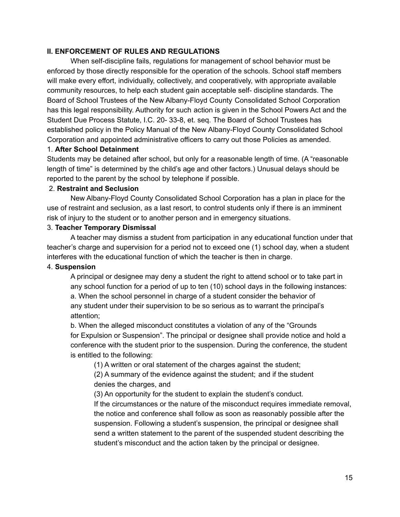#### **II. ENFORCEMENT OF RULES AND REGULATIONS**

When self-discipline fails, regulations for management of school behavior must be enforced by those directly responsible for the operation of the schools. School staff members will make every effort, individually, collectively, and cooperatively, with appropriate available community resources, to help each student gain acceptable self- discipline standards. The Board of School Trustees of the New Albany-Floyd County Consolidated School Corporation has this legal responsibility. Authority for such action is given in the School Powers Act and the Student Due Process Statute, I.C. 20- 33-8, et. seq. The Board of School Trustees has established policy in the Policy Manual of the New Albany-Floyd County Consolidated School Corporation and appointed administrative officers to carry out those Policies as amended.

#### 1. **After School Detainment**

Students may be detained after school, but only for a reasonable length of time. (A "reasonable length of time" is determined by the child's age and other factors.) Unusual delays should be reported to the parent by the school by telephone if possible.

#### 2. **Restraint and Seclusion**

New Albany-Floyd County Consolidated School Corporation has a plan in place for the use of restraint and seclusion, as a last resort, to control students only if there is an imminent risk of injury to the student or to another person and in emergency situations.

#### 3. **Teacher Temporary Dismissal**

A teacher may dismiss a student from participation in any educational function under that teacher's charge and supervision for a period not to exceed one (1) school day, when a student interferes with the educational function of which the teacher is then in charge.

### 4. **Suspension**

A principal or designee may deny a student the right to attend school or to take part in any school function for a period of up to ten (10) school days in the following instances: a. When the school personnel in charge of a student consider the behavior of any student under their supervision to be so serious as to warrant the principal's attention;

b. When the alleged misconduct constitutes a violation of any of the "Grounds for Expulsion or Suspension". The principal or designee shall provide notice and hold a conference with the student prior to the suspension. During the conference, the student is entitled to the following:

(1) A written or oral statement of the charges against the student;

(2) A summary of the evidence against the student; and if the student denies the charges, and

(3) An opportunity for the student to explain the student's conduct.

If the circumstances or the nature of the misconduct requires immediate removal, the notice and conference shall follow as soon as reasonably possible after the suspension. Following a student's suspension, the principal or designee shall send a written statement to the parent of the suspended student describing the student's misconduct and the action taken by the principal or designee.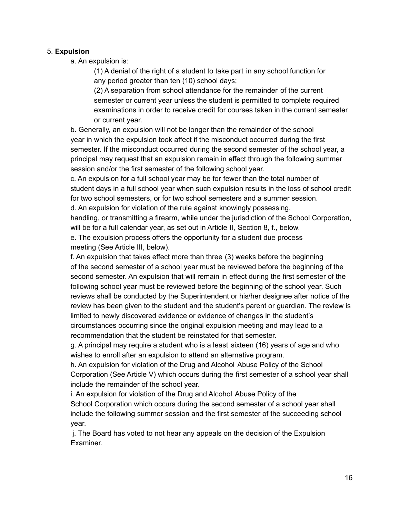#### 5. **Expulsion**

a. An expulsion is:

(1) A denial of the right of a student to take part in any school function for any period greater than ten (10) school days;

(2) A separation from school attendance for the remainder of the current semester or current year unless the student is permitted to complete required examinations in order to receive credit for courses taken in the current semester or current year.

b. Generally, an expulsion will not be longer than the remainder of the school year in which the expulsion took affect if the misconduct occurred during the first semester. If the misconduct occurred during the second semester of the school year, a principal may request that an expulsion remain in effect through the following summer session and/or the first semester of the following school year.

c. An expulsion for a full school year may be for fewer than the total number of student days in a full school year when such expulsion results in the loss of school credit for two school semesters, or for two school semesters and a summer session.

d. An expulsion for violation of the rule against knowingly possessing,

handling, or transmitting a firearm, while under the jurisdiction of the School Corporation, will be for a full calendar year, as set out in Article II, Section 8, f., below.

e. The expulsion process offers the opportunity for a student due process meeting (See Article III, below).

f. An expulsion that takes effect more than three (3) weeks before the beginning of the second semester of a school year must be reviewed before the beginning of the second semester. An expulsion that will remain in effect during the first semester of the following school year must be reviewed before the beginning of the school year. Such reviews shall be conducted by the Superintendent or his/her designee after notice of the review has been given to the student and the student's parent or guardian. The review is limited to newly discovered evidence or evidence of changes in the student's circumstances occurring since the original expulsion meeting and may lead to a recommendation that the student be reinstated for that semester.

g. A principal may require a student who is a least sixteen (16) years of age and who wishes to enroll after an expulsion to attend an alternative program.

h. An expulsion for violation of the Drug and Alcohol Abuse Policy of the School Corporation (See Article V) which occurs during the first semester of a school year shall include the remainder of the school year.

i. An expulsion for violation of the Drug and Alcohol Abuse Policy of the School Corporation which occurs during the second semester of a school year shall include the following summer session and the first semester of the succeeding school year.

j. The Board has voted to not hear any appeals on the decision of the Expulsion Examiner.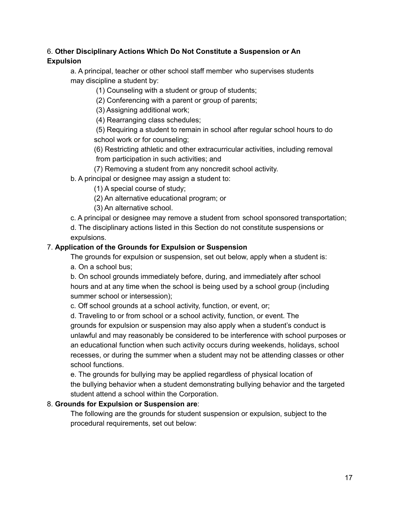## 6. **Other Disciplinary Actions Which Do Not Constitute a Suspension or An Expulsion**

a. A principal, teacher or other school staff member who supervises students may discipline a student by:

(1) Counseling with a student or group of students;

(2) Conferencing with a parent or group of parents;

(3) Assigning additional work;

(4) Rearranging class schedules;

(5) Requiring a student to remain in school after regular school hours to do school work or for counseling;

(6) Restricting athletic and other extracurricular activities, including removal from participation in such activities; and

(7) Removing a student from any noncredit school activity.

b. A principal or designee may assign a student to:

(1) A special course of study;

(2) An alternative educational program; or

(3) An alternative school.

c. A principal or designee may remove a student from school sponsored transportation;

d. The disciplinary actions listed in this Section do not constitute suspensions or expulsions.

#### 7. **Application of the Grounds for Expulsion or Suspension**

The grounds for expulsion or suspension, set out below, apply when a student is: a. On a school bus;

b. On school grounds immediately before, during, and immediately after school hours and at any time when the school is being used by a school group (including summer school or intersession);

c. Off school grounds at a school activity, function, or event, or;

d. Traveling to or from school or a school activity, function, or event. The grounds for expulsion or suspension may also apply when a student's conduct is unlawful and may reasonably be considered to be interference with school purposes or an educational function when such activity occurs during weekends, holidays, school recesses, or during the summer when a student may not be attending classes or other school functions.

e. The grounds for bullying may be applied regardless of physical location of the bullying behavior when a student demonstrating bullying behavior and the targeted student attend a school within the Corporation.

### 8. **Grounds for Expulsion or Suspension are**:

The following are the grounds for student suspension or expulsion, subject to the procedural requirements, set out below: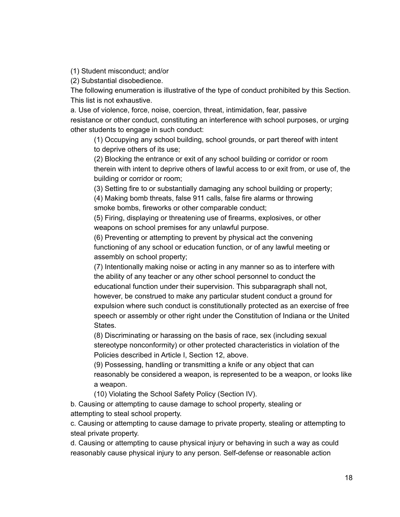(1) Student misconduct; and/or

(2) Substantial disobedience.

The following enumeration is illustrative of the type of conduct prohibited by this Section. This list is not exhaustive.

a. Use of violence, force, noise, coercion, threat, intimidation, fear, passive resistance or other conduct, constituting an interference with school purposes, or urging other students to engage in such conduct:

(1) Occupying any school building, school grounds, or part thereof with intent to deprive others of its use;

(2) Blocking the entrance or exit of any school building or corridor or room therein with intent to deprive others of lawful access to or exit from, or use of, the building or corridor or room;

(3) Setting fire to or substantially damaging any school building or property;

(4) Making bomb threats, false 911 calls, false fire alarms or throwing smoke bombs, fireworks or other comparable conduct;

(5) Firing, displaying or threatening use of firearms, explosives, or other weapons on school premises for any unlawful purpose.

(6) Preventing or attempting to prevent by physical act the convening functioning of any school or education function, or of any lawful meeting or assembly on school property;

(7) Intentionally making noise or acting in any manner so as to interfere with the ability of any teacher or any other school personnel to conduct the educational function under their supervision. This subparagraph shall not, however, be construed to make any particular student conduct a ground for expulsion where such conduct is constitutionally protected as an exercise of free speech or assembly or other right under the Constitution of Indiana or the United States.

(8) Discriminating or harassing on the basis of race, sex (including sexual stereotype nonconformity) or other protected characteristics in violation of the Policies described in Article I, Section 12, above.

(9) Possessing, handling or transmitting a knife or any object that can reasonably be considered a weapon, is represented to be a weapon, or looks like a weapon.

(10) Violating the School Safety Policy (Section IV).

b. Causing or attempting to cause damage to school property, stealing or attempting to steal school property.

c. Causing or attempting to cause damage to private property, stealing or attempting to steal private property.

d. Causing or attempting to cause physical injury or behaving in such a way as could reasonably cause physical injury to any person. Self-defense or reasonable action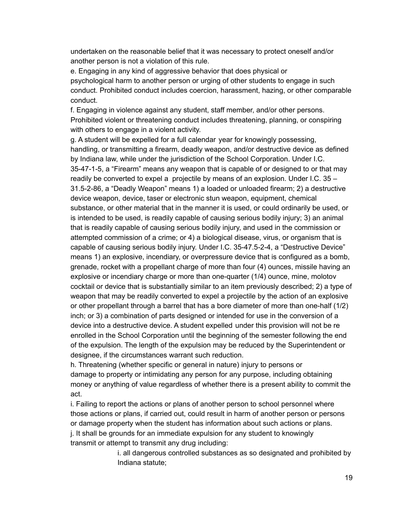undertaken on the reasonable belief that it was necessary to protect oneself and/or another person is not a violation of this rule.

e. Engaging in any kind of aggressive behavior that does physical or psychological harm to another person or urging of other students to engage in such conduct. Prohibited conduct includes coercion, harassment, hazing, or other comparable conduct.

f. Engaging in violence against any student, staff member, and/or other persons. Prohibited violent or threatening conduct includes threatening, planning, or conspiring with others to engage in a violent activity.

g. A student will be expelled for a full calendar year for knowingly possessing, handling, or transmitting a firearm, deadly weapon, and/or destructive device as defined by Indiana law, while under the jurisdiction of the School Corporation. Under I.C. 35-47-1-5, a "Firearm" means any weapon that is capable of or designed to or that may readily be converted to expel a projectile by means of an explosion. Under I.C. 35 – 31.5-2-86, a "Deadly Weapon" means 1) a loaded or unloaded firearm; 2) a destructive device weapon, device, taser or electronic stun weapon, equipment, chemical substance, or other material that in the manner it is used, or could ordinarily be used, or is intended to be used, is readily capable of causing serious bodily injury; 3) an animal that is readily capable of causing serious bodily injury, and used in the commission or attempted commission of a crime; or 4) a biological disease, virus, or organism that is capable of causing serious bodily injury. Under I.C. 35-47.5-2-4, a "Destructive Device" means 1) an explosive, incendiary, or overpressure device that is configured as a bomb, grenade, rocket with a propellant charge of more than four (4) ounces, missile having an explosive or incendiary charge or more than one-quarter (1/4) ounce, mine, molotov cocktail or device that is substantially similar to an item previously described; 2) a type of weapon that may be readily converted to expel a projectile by the action of an explosive or other propellant through a barrel that has a bore diameter of more than one-half (1/2) inch; or 3) a combination of parts designed or intended for use in the conversion of a device into a destructive device. A student expelled under this provision will not be re enrolled in the School Corporation until the beginning of the semester following the end of the expulsion. The length of the expulsion may be reduced by the Superintendent or designee, if the circumstances warrant such reduction.

h. Threatening (whether specific or general in nature) injury to persons or damage to property or intimidating any person for any purpose, including obtaining money or anything of value regardless of whether there is a present ability to commit the act.

i. Failing to report the actions or plans of another person to school personnel where those actions or plans, if carried out, could result in harm of another person or persons or damage property when the student has information about such actions or plans. j. It shall be grounds for an immediate expulsion for any student to knowingly transmit or attempt to transmit any drug including:

> i. all dangerous controlled substances as so designated and prohibited by Indiana statute;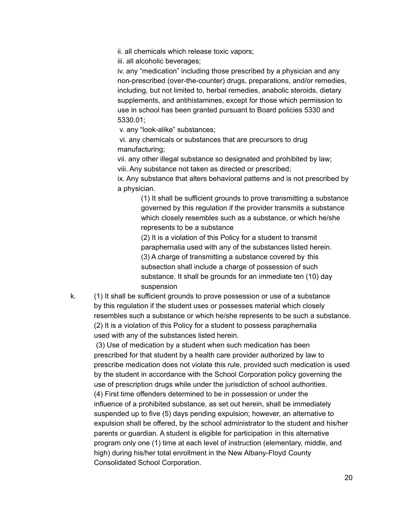ii. all chemicals which release toxic vapors;

iii. all alcoholic beverages;

iv. any "medication" including those prescribed by a physician and any non-prescribed (over-the-counter) drugs, preparations, and/or remedies, including, but not limited to, herbal remedies, anabolic steroids, dietary supplements, and antihistamines, except for those which permission to use in school has been granted pursuant to Board policies 5330 and 5330.01;

v. any "look-alike" substances;

vi. any chemicals or substances that are precursors to drug manufacturing;

vii. any other illegal substance so designated and prohibited by law; viii. Any substance not taken as directed or prescribed;

ix. Any substance that alters behavioral patterns and is not prescribed by a physician.

> (1) It shall be sufficient grounds to prove transmitting a substance governed by this regulation if the provider transmits a substance which closely resembles such as a substance, or which he/she represents to be a substance

(2) It is a violation of this Policy for a student to transmit paraphernalia used with any of the substances listed herein. (3) A charge of transmitting a substance covered by this subsection shall include a charge of possession of such substance. It shall be grounds for an immediate ten (10) day suspension

k. (1) It shall be sufficient grounds to prove possession or use of a substance by this regulation if the student uses or possesses material which closely resembles such a substance or which he/she represents to be such a substance. (2) It is a violation of this Policy for a student to possess paraphernalia used with any of the substances listed herein.

(3) Use of medication by a student when such medication has been prescribed for that student by a health care provider authorized by law to prescribe medication does not violate this rule, provided such medication is used by the student in accordance with the School Corporation policy governing the use of prescription drugs while under the jurisdiction of school authorities. (4) First time offenders determined to be in possession or under the influence of a prohibited substance, as set out herein, shall be immediately suspended up to five (5) days pending expulsion; however, an alternative to expulsion shall be offered, by the school administrator to the student and his/her parents or guardian. A student is eligible for participation in this alternative program only one (1) time at each level of instruction (elementary, middle, and high) during his/her total enrollment in the New Albany-Floyd County Consolidated School Corporation.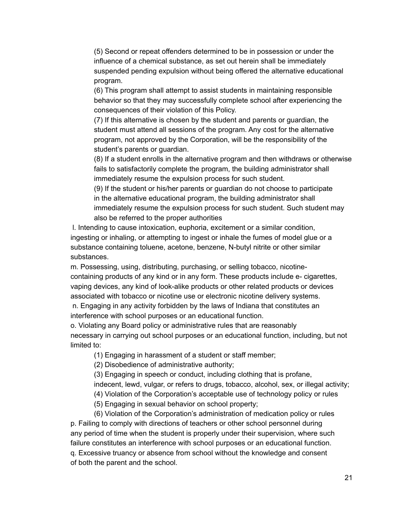(5) Second or repeat offenders determined to be in possession or under the influence of a chemical substance, as set out herein shall be immediately suspended pending expulsion without being offered the alternative educational program.

(6) This program shall attempt to assist students in maintaining responsible behavior so that they may successfully complete school after experiencing the consequences of their violation of this Policy.

(7) If this alternative is chosen by the student and parents or guardian, the student must attend all sessions of the program. Any cost for the alternative program, not approved by the Corporation, will be the responsibility of the student's parents or guardian.

(8) If a student enrolls in the alternative program and then withdraws or otherwise fails to satisfactorily complete the program, the building administrator shall immediately resume the expulsion process for such student.

(9) If the student or his/her parents or guardian do not choose to participate in the alternative educational program, the building administrator shall immediately resume the expulsion process for such student. Such student may also be referred to the proper authorities

l. Intending to cause intoxication, euphoria, excitement or a similar condition, ingesting or inhaling, or attempting to ingest or inhale the fumes of model glue or a substance containing toluene, acetone, benzene, N-butyl nitrite or other similar substances.

m. Possessing, using, distributing, purchasing, or selling tobacco, nicotinecontaining products of any kind or in any form. These products include e- cigarettes, vaping devices, any kind of look-alike products or other related products or devices associated with tobacco or nicotine use or electronic nicotine delivery systems.

n. Engaging in any activity forbidden by the laws of Indiana that constitutes an interference with school purposes or an educational function.

o. Violating any Board policy or administrative rules that are reasonably necessary in carrying out school purposes or an educational function, including, but not limited to:

(1) Engaging in harassment of a student or staff member;

(2) Disobedience of administrative authority;

(3) Engaging in speech or conduct, including clothing that is profane,

indecent, lewd, vulgar, or refers to drugs, tobacco, alcohol, sex, or illegal activity;

(4) Violation of the Corporation's acceptable use of technology policy or rules

(5) Engaging in sexual behavior on school property;

(6) Violation of the Corporation's administration of medication policy or rules p. Failing to comply with directions of teachers or other school personnel during any period of time when the student is properly under their supervision, where such failure constitutes an interference with school purposes or an educational function. q. Excessive truancy or absence from school without the knowledge and consent of both the parent and the school.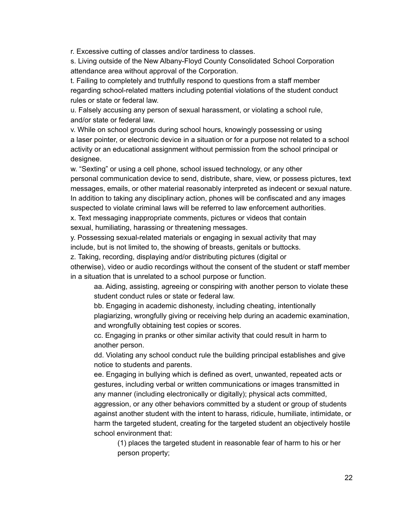r. Excessive cutting of classes and/or tardiness to classes.

s. Living outside of the New Albany-Floyd County Consolidated School Corporation attendance area without approval of the Corporation.

t. Failing to completely and truthfully respond to questions from a staff member regarding school-related matters including potential violations of the student conduct rules or state or federal law.

u. Falsely accusing any person of sexual harassment, or violating a school rule, and/or state or federal law.

v. While on school grounds during school hours, knowingly possessing or using a laser pointer, or electronic device in a situation or for a purpose not related to a school activity or an educational assignment without permission from the school principal or designee.

w. "Sexting" or using a cell phone, school issued technology, or any other personal communication device to send, distribute, share, view, or possess pictures, text messages, emails, or other material reasonably interpreted as indecent or sexual nature. In addition to taking any disciplinary action, phones will be confiscated and any images suspected to violate criminal laws will be referred to law enforcement authorities.

x. Text messaging inappropriate comments, pictures or videos that contain sexual, humiliating, harassing or threatening messages.

y. Possessing sexual-related materials or engaging in sexual activity that may include, but is not limited to, the showing of breasts, genitals or buttocks.

z. Taking, recording, displaying and/or distributing pictures (digital or

otherwise), video or audio recordings without the consent of the student or staff member in a situation that is unrelated to a school purpose or function.

aa. Aiding, assisting, agreeing or conspiring with another person to violate these student conduct rules or state or federal law.

bb. Engaging in academic dishonesty, including cheating, intentionally plagiarizing, wrongfully giving or receiving help during an academic examination, and wrongfully obtaining test copies or scores.

cc. Engaging in pranks or other similar activity that could result in harm to another person.

dd. Violating any school conduct rule the building principal establishes and give notice to students and parents.

ee. Engaging in bullying which is defined as overt, unwanted, repeated acts or gestures, including verbal or written communications or images transmitted in any manner (including electronically or digitally); physical acts committed,

aggression, or any other behaviors committed by a student or group of students against another student with the intent to harass, ridicule, humiliate, intimidate, or harm the targeted student, creating for the targeted student an objectively hostile school environment that:

(1) places the targeted student in reasonable fear of harm to his or her person property;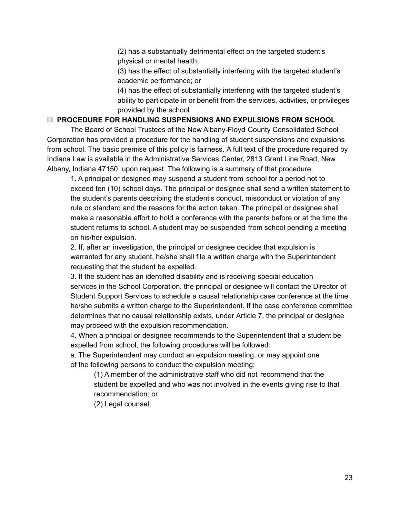(2) has a substantially detrimental effect on the targeted student's physical or mental health;

(3) has the effect of substantially interfering with the targeted student's academic performance; or

(4) has the effect of substantially interfering with the targeted student's ability to participate in or benefit from the services, activities, or privileges provided by the school

#### III. **PROCEDURE FOR HANDLING SUSPENSIONS AND EXPULSIONS FROM SCHOOL**

The Board of School Trustees of the New Albany-Floyd County Consolidated School Corporation has provided a procedure for the handling of student suspensions and expulsions from school. The basic premise of this policy is fairness. A full text of the procedure required by Indiana Law is available in the Administrative Services Center, 2813 Grant Line Road, New Albany, Indiana 47150, upon request. The following is a summary of that procedure.

1. A principal or designee may suspend a student from school for a period not to exceed ten (10) school days. The principal or designee shall send a written statement to the student's parents describing the student's conduct, misconduct or violation of any rule or standard and the reasons for the action taken. The principal or designee shall make a reasonable effort to hold a conference with the parents before or at the time the student returns to school. A student may be suspended from school pending a meeting on his/her expulsion.

2. If, after an investigation, the principal or designee decides that expulsion is warranted for any student, he/she shall file a written charge with the Superintendent requesting that the student be expelled.

3. If the student has an identified disability and is receiving special education services in the School Corporation, the principal or designee will contact the Director of Student Support Services to schedule a causal relationship case conference at the time he/she submits a written charge to the Superintendent. If the case conference committee determines that no causal relationship exists, under Article 7, the principal or designee may proceed with the expulsion recommendation.

4. When a principal or designee recommends to the Superintendent that a student be expelled from school, the following procedures will be followed:

a. The Superintendent may conduct an expulsion meeting, or may appoint one of the following persons to conduct the expulsion meeting:

(1) A member of the administrative staff who did not recommend that the student be expelled and who was not involved in the events giving rise to that recommendation; or

(2) Legal counsel.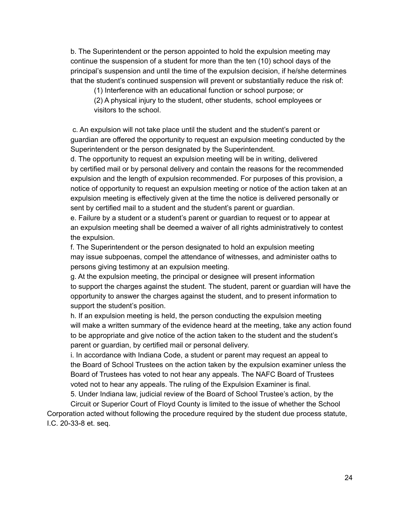b. The Superintendent or the person appointed to hold the expulsion meeting may continue the suspension of a student for more than the ten (10) school days of the principal's suspension and until the time of the expulsion decision, if he/she determines that the student's continued suspension will prevent or substantially reduce the risk of:

(1) Interference with an educational function or school purpose; or

(2) A physical injury to the student, other students, school employees or visitors to the school.

c. An expulsion will not take place until the student and the student's parent or guardian are offered the opportunity to request an expulsion meeting conducted by the Superintendent or the person designated by the Superintendent.

d. The opportunity to request an expulsion meeting will be in writing, delivered by certified mail or by personal delivery and contain the reasons for the recommended expulsion and the length of expulsion recommended. For purposes of this provision, a notice of opportunity to request an expulsion meeting or notice of the action taken at an expulsion meeting is effectively given at the time the notice is delivered personally or sent by certified mail to a student and the student's parent or guardian.

e. Failure by a student or a student's parent or guardian to request or to appear at an expulsion meeting shall be deemed a waiver of all rights administratively to contest the expulsion.

f. The Superintendent or the person designated to hold an expulsion meeting may issue subpoenas, compel the attendance of witnesses, and administer oaths to persons giving testimony at an expulsion meeting.

g. At the expulsion meeting, the principal or designee will present information to support the charges against the student. The student, parent or guardian will have the opportunity to answer the charges against the student, and to present information to support the student's position.

h. If an expulsion meeting is held, the person conducting the expulsion meeting will make a written summary of the evidence heard at the meeting, take any action found to be appropriate and give notice of the action taken to the student and the student's parent or guardian, by certified mail or personal delivery.

i. In accordance with Indiana Code, a student or parent may request an appeal to the Board of School Trustees on the action taken by the expulsion examiner unless the Board of Trustees has voted to not hear any appeals. The NAFC Board of Trustees voted not to hear any appeals. The ruling of the Expulsion Examiner is final.

5. Under Indiana law, judicial review of the Board of School Trustee's action, by the

Circuit or Superior Court of Floyd County is limited to the issue of whether the School Corporation acted without following the procedure required by the student due process statute, I.C. 20-33-8 et. seq.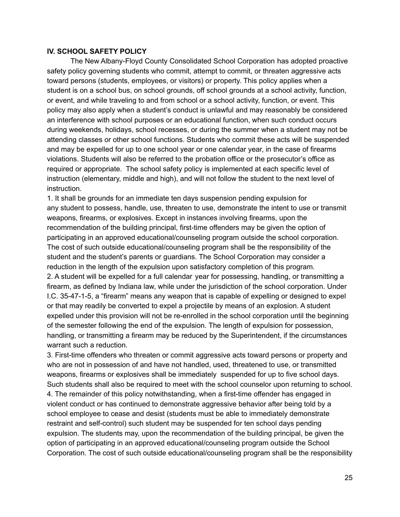#### **IV. SCHOOL SAFETY POLICY**

The New Albany-Floyd County Consolidated School Corporation has adopted proactive safety policy governing students who commit, attempt to commit, or threaten aggressive acts toward persons (students, employees, or visitors) or property. This policy applies when a student is on a school bus, on school grounds, off school grounds at a school activity, function, or event, and while traveling to and from school or a school activity, function, or event. This policy may also apply when a student's conduct is unlawful and may reasonably be considered an interference with school purposes or an educational function, when such conduct occurs during weekends, holidays, school recesses, or during the summer when a student may not be attending classes or other school functions. Students who commit these acts will be suspended and may be expelled for up to one school year or one calendar year, in the case of firearms violations. Students will also be referred to the probation office or the prosecutor's office as required or appropriate. The school safety policy is implemented at each specific level of instruction (elementary, middle and high), and will not follow the student to the next level of instruction.

1. It shall be grounds for an immediate ten days suspension pending expulsion for any student to possess, handle, use, threaten to use, demonstrate the intent to use or transmit weapons, firearms, or explosives. Except in instances involving firearms, upon the recommendation of the building principal, first-time offenders may be given the option of participating in an approved educational/counseling program outside the school corporation. The cost of such outside educational/counseling program shall be the responsibility of the student and the student's parents or guardians. The School Corporation may consider a reduction in the length of the expulsion upon satisfactory completion of this program. 2. A student will be expelled for a full calendar year for possessing, handling, or transmitting a firearm, as defined by Indiana law, while under the jurisdiction of the school corporation. Under I.C. 35-47-1-5, a "firearm" means any weapon that is capable of expelling or designed to expel or that may readily be converted to expel a projectile by means of an explosion. A student expelled under this provision will not be re-enrolled in the school corporation until the beginning of the semester following the end of the expulsion. The length of expulsion for possession, handling, or transmitting a firearm may be reduced by the Superintendent, if the circumstances warrant such a reduction.

3. First-time offenders who threaten or commit aggressive acts toward persons or property and who are not in possession of and have not handled, used, threatened to use, or transmitted weapons, firearms or explosives shall be immediately suspended for up to five school days. Such students shall also be required to meet with the school counselor upon returning to school. 4. The remainder of this policy notwithstanding, when a first-time offender has engaged in violent conduct or has continued to demonstrate aggressive behavior after being told by a school employee to cease and desist (students must be able to immediately demonstrate restraint and self-control) such student may be suspended for ten school days pending expulsion. The students may, upon the recommendation of the building principal, be given the option of participating in an approved educational/counseling program outside the School Corporation. The cost of such outside educational/counseling program shall be the responsibility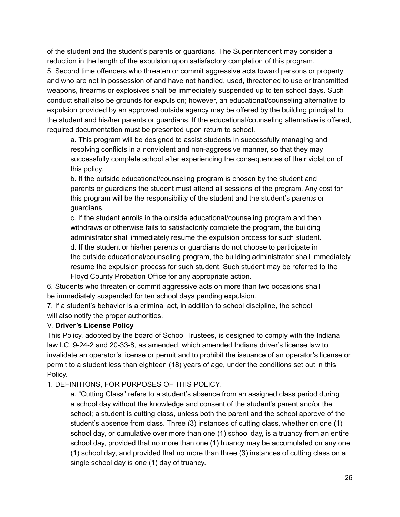of the student and the student's parents or guardians. The Superintendent may consider a reduction in the length of the expulsion upon satisfactory completion of this program.

5. Second time offenders who threaten or commit aggressive acts toward persons or property and who are not in possession of and have not handled, used, threatened to use or transmitted weapons, firearms or explosives shall be immediately suspended up to ten school days. Such conduct shall also be grounds for expulsion; however, an educational/counseling alternative to expulsion provided by an approved outside agency may be offered by the building principal to the student and his/her parents or guardians. If the educational/counseling alternative is offered, required documentation must be presented upon return to school.

a. This program will be designed to assist students in successfully managing and resolving conflicts in a nonviolent and non-aggressive manner, so that they may successfully complete school after experiencing the consequences of their violation of this policy.

b. If the outside educational/counseling program is chosen by the student and parents or guardians the student must attend all sessions of the program. Any cost for this program will be the responsibility of the student and the student's parents or guardians.

c. If the student enrolls in the outside educational/counseling program and then withdraws or otherwise fails to satisfactorily complete the program, the building administrator shall immediately resume the expulsion process for such student. d. If the student or his/her parents or guardians do not choose to participate in the outside educational/counseling program, the building administrator shall immediately resume the expulsion process for such student. Such student may be referred to the Floyd County Probation Office for any appropriate action.

6. Students who threaten or commit aggressive acts on more than two occasions shall be immediately suspended for ten school days pending expulsion.

7. If a student's behavior is a criminal act, in addition to school discipline, the school will also notify the proper authorities.

### V. **Driver's License Policy**

This Policy, adopted by the board of School Trustees, is designed to comply with the Indiana law I.C. 9-24-2 and 20-33-8, as amended, which amended Indiana driver's license law to invalidate an operator's license or permit and to prohibit the issuance of an operator's license or permit to a student less than eighteen (18) years of age, under the conditions set out in this Policy.

1. DEFINITIONS, FOR PURPOSES OF THIS POLICY.

a. "Cutting Class" refers to a student's absence from an assigned class period during a school day without the knowledge and consent of the student's parent and/or the school; a student is cutting class, unless both the parent and the school approve of the student's absence from class. Three (3) instances of cutting class, whether on one (1) school day, or cumulative over more than one (1) school day, is a truancy from an entire school day, provided that no more than one (1) truancy may be accumulated on any one (1) school day, and provided that no more than three (3) instances of cutting class on a single school day is one (1) day of truancy.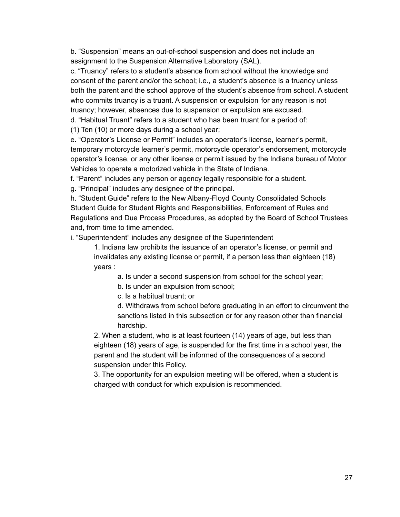b. "Suspension" means an out-of-school suspension and does not include an assignment to the Suspension Alternative Laboratory (SAL).

c. "Truancy" refers to a student's absence from school without the knowledge and consent of the parent and/or the school; i.e., a student's absence is a truancy unless both the parent and the school approve of the student's absence from school. A student who commits truancy is a truant. A suspension or expulsion for any reason is not truancy; however, absences due to suspension or expulsion are excused.

d. "Habitual Truant" refers to a student who has been truant for a period of:

(1) Ten (10) or more days during a school year;

e. "Operator's License or Permit" includes an operator's license, learner's permit, temporary motorcycle learner's permit, motorcycle operator's endorsement, motorcycle operator's license, or any other license or permit issued by the Indiana bureau of Motor Vehicles to operate a motorized vehicle in the State of Indiana.

f. "Parent" includes any person or agency legally responsible for a student.

g. "Principal" includes any designee of the principal.

h. "Student Guide" refers to the New Albany-Floyd County Consolidated Schools Student Guide for Student Rights and Responsibilities, Enforcement of Rules and Regulations and Due Process Procedures, as adopted by the Board of School Trustees and, from time to time amended.

i. "Superintendent" includes any designee of the Superintendent

1. Indiana law prohibits the issuance of an operator's license, or permit and invalidates any existing license or permit, if a person less than eighteen (18) years :

a. Is under a second suspension from school for the school year;

b. Is under an expulsion from school;

c. Is a habitual truant; or

d. Withdraws from school before graduating in an effort to circumvent the sanctions listed in this subsection or for any reason other than financial hardship.

2. When a student, who is at least fourteen (14) years of age, but less than eighteen (18) years of age, is suspended for the first time in a school year, the parent and the student will be informed of the consequences of a second suspension under this Policy.

3. The opportunity for an expulsion meeting will be offered, when a student is charged with conduct for which expulsion is recommended.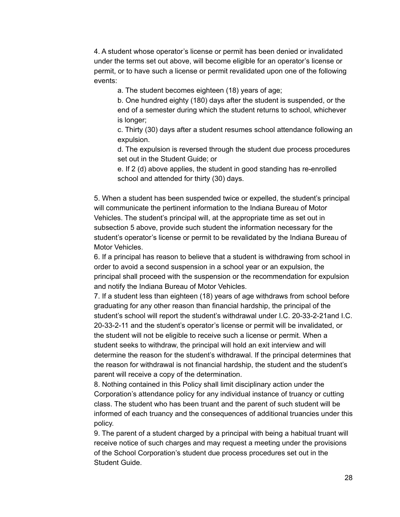4. A student whose operator's license or permit has been denied or invalidated under the terms set out above, will become eligible for an operator's license or permit, or to have such a license or permit revalidated upon one of the following events:

a. The student becomes eighteen (18) years of age;

b. One hundred eighty (180) days after the student is suspended, or the end of a semester during which the student returns to school, whichever is longer;

c. Thirty (30) days after a student resumes school attendance following an expulsion.

d. The expulsion is reversed through the student due process procedures set out in the Student Guide; or

e. If 2 (d) above applies, the student in good standing has re-enrolled school and attended for thirty (30) days.

5. When a student has been suspended twice or expelled, the student's principal will communicate the pertinent information to the Indiana Bureau of Motor Vehicles. The student's principal will, at the appropriate time as set out in subsection 5 above, provide such student the information necessary for the student's operator's license or permit to be revalidated by the Indiana Bureau of Motor Vehicles.

6. If a principal has reason to believe that a student is withdrawing from school in order to avoid a second suspension in a school year or an expulsion, the principal shall proceed with the suspension or the recommendation for expulsion and notify the Indiana Bureau of Motor Vehicles.

7. If a student less than eighteen (18) years of age withdraws from school before graduating for any other reason than financial hardship, the principal of the student's school will report the student's withdrawal under I.C. 20-33-2-21and I.C. 20-33-2-11 and the student's operator's license or permit will be invalidated, or the student will not be eligible to receive such a license or permit. When a student seeks to withdraw, the principal will hold an exit interview and will determine the reason for the student's withdrawal. If the principal determines that the reason for withdrawal is not financial hardship, the student and the student's parent will receive a copy of the determination.

8. Nothing contained in this Policy shall limit disciplinary action under the Corporation's attendance policy for any individual instance of truancy or cutting class. The student who has been truant and the parent of such student will be informed of each truancy and the consequences of additional truancies under this policy.

9. The parent of a student charged by a principal with being a habitual truant will receive notice of such charges and may request a meeting under the provisions of the School Corporation's student due process procedures set out in the Student Guide.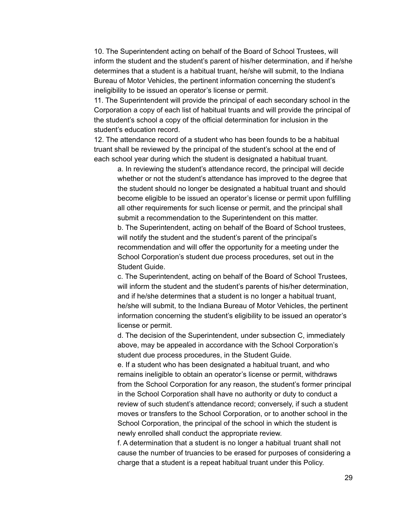10. The Superintendent acting on behalf of the Board of School Trustees, will inform the student and the student's parent of his/her determination, and if he/she determines that a student is a habitual truant, he/she will submit, to the Indiana Bureau of Motor Vehicles, the pertinent information concerning the student's ineligibility to be issued an operator's license or permit.

11. The Superintendent will provide the principal of each secondary school in the Corporation a copy of each list of habitual truants and will provide the principal of the student's school a copy of the official determination for inclusion in the student's education record.

12. The attendance record of a student who has been founds to be a habitual truant shall be reviewed by the principal of the student's school at the end of each school year during which the student is designated a habitual truant.

a. In reviewing the student's attendance record, the principal will decide whether or not the student's attendance has improved to the degree that the student should no longer be designated a habitual truant and should become eligible to be issued an operator's license or permit upon fulfilling all other requirements for such license or permit, and the principal shall submit a recommendation to the Superintendent on this matter. b. The Superintendent, acting on behalf of the Board of School trustees, will notify the student and the student's parent of the principal's recommendation and will offer the opportunity for a meeting under the School Corporation's student due process procedures, set out in the Student Guide.

c. The Superintendent, acting on behalf of the Board of School Trustees, will inform the student and the student's parents of his/her determination, and if he/she determines that a student is no longer a habitual truant, he/she will submit, to the Indiana Bureau of Motor Vehicles, the pertinent information concerning the student's eligibility to be issued an operator's license or permit.

d. The decision of the Superintendent, under subsection C, immediately above, may be appealed in accordance with the School Corporation's student due process procedures, in the Student Guide.

e. If a student who has been designated a habitual truant, and who remains ineligible to obtain an operator's license or permit, withdraws from the School Corporation for any reason, the student's former principal in the School Corporation shall have no authority or duty to conduct a review of such student's attendance record; conversely, if such a student moves or transfers to the School Corporation, or to another school in the School Corporation, the principal of the school in which the student is newly enrolled shall conduct the appropriate review.

f. A determination that a student is no longer a habitual truant shall not cause the number of truancies to be erased for purposes of considering a charge that a student is a repeat habitual truant under this Policy.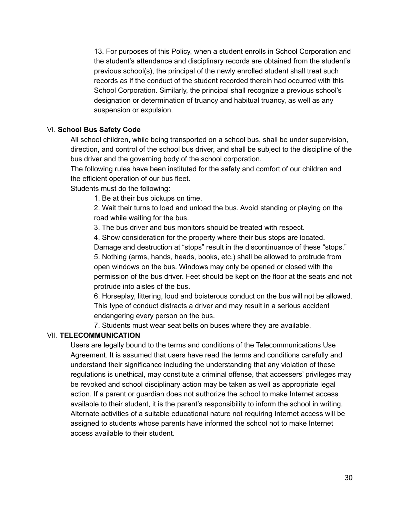13. For purposes of this Policy, when a student enrolls in School Corporation and the student's attendance and disciplinary records are obtained from the student's previous school(s), the principal of the newly enrolled student shall treat such records as if the conduct of the student recorded therein had occurred with this School Corporation. Similarly, the principal shall recognize a previous school's designation or determination of truancy and habitual truancy, as well as any suspension or expulsion.

#### VI. **School Bus Safety Code**

All school children, while being transported on a school bus, shall be under supervision, direction, and control of the school bus driver, and shall be subject to the discipline of the bus driver and the governing body of the school corporation.

The following rules have been instituted for the safety and comfort of our children and the efficient operation of our bus fleet.

Students must do the following:

1. Be at their bus pickups on time.

2. Wait their turns to load and unload the bus. Avoid standing or playing on the road while waiting for the bus.

3. The bus driver and bus monitors should be treated with respect.

4. Show consideration for the property where their bus stops are located. Damage and destruction at "stops" result in the discontinuance of these "stops." 5. Nothing (arms, hands, heads, books, etc.) shall be allowed to protrude from open windows on the bus. Windows may only be opened or closed with the permission of the bus driver. Feet should be kept on the floor at the seats and not protrude into aisles of the bus.

6. Horseplay, littering, loud and boisterous conduct on the bus will not be allowed. This type of conduct distracts a driver and may result in a serious accident endangering every person on the bus.

7. Students must wear seat belts on buses where they are available.

#### VII. **TELECOMMUNICATION**

Users are legally bound to the terms and conditions of the Telecommunications Use Agreement. It is assumed that users have read the terms and conditions carefully and understand their significance including the understanding that any violation of these regulations is unethical, may constitute a criminal offense, that accessers' privileges may be revoked and school disciplinary action may be taken as well as appropriate legal action. If a parent or guardian does not authorize the school to make Internet access available to their student, it is the parent's responsibility to inform the school in writing. Alternate activities of a suitable educational nature not requiring Internet access will be assigned to students whose parents have informed the school not to make Internet access available to their student.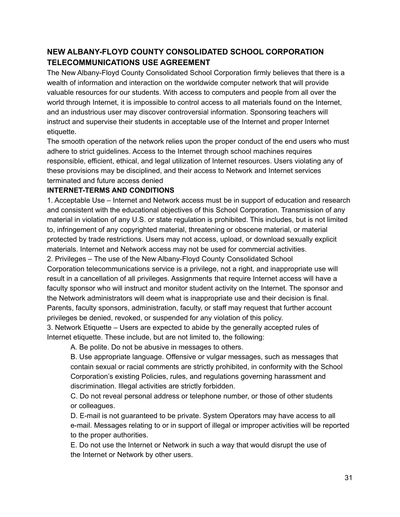## **NEW ALBANY-FLOYD COUNTY CONSOLIDATED SCHOOL CORPORATION TELECOMMUNICATIONS USE AGREEMENT**

The New Albany-Floyd County Consolidated School Corporation firmly believes that there is a wealth of information and interaction on the worldwide computer network that will provide valuable resources for our students. With access to computers and people from all over the world through Internet, it is impossible to control access to all materials found on the Internet, and an industrious user may discover controversial information. Sponsoring teachers will instruct and supervise their students in acceptable use of the Internet and proper Internet etiquette.

The smooth operation of the network relies upon the proper conduct of the end users who must adhere to strict guidelines. Access to the Internet through school machines requires responsible, efficient, ethical, and legal utilization of Internet resources. Users violating any of these provisions may be disciplined, and their access to Network and Internet services terminated and future access denied

## **INTERNET-TERMS AND CONDITIONS**

1. Acceptable Use – Internet and Network access must be in support of education and research and consistent with the educational objectives of this School Corporation. Transmission of any material in violation of any U.S. or state regulation is prohibited. This includes, but is not limited to, infringement of any copyrighted material, threatening or obscene material, or material protected by trade restrictions. Users may not access, upload, or download sexually explicit materials. Internet and Network access may not be used for commercial activities.

2. Privileges – The use of the New Albany-Floyd County Consolidated School Corporation telecommunications service is a privilege, not a right, and inappropriate use will result in a cancellation of all privileges. Assignments that require Internet access will have a faculty sponsor who will instruct and monitor student activity on the Internet. The sponsor and the Network administrators will deem what is inappropriate use and their decision is final. Parents, faculty sponsors, administration, faculty, or staff may request that further account privileges be denied, revoked, or suspended for any violation of this policy.

3. Network Etiquette – Users are expected to abide by the generally accepted rules of Internet etiquette. These include, but are not limited to, the following:

A. Be polite. Do not be abusive in messages to others.

B. Use appropriate language. Offensive or vulgar messages, such as messages that contain sexual or racial comments are strictly prohibited, in conformity with the School Corporation's existing Policies, rules, and regulations governing harassment and discrimination. Illegal activities are strictly forbidden.

C. Do not reveal personal address or telephone number, or those of other students or colleagues.

D. E-mail is not guaranteed to be private. System Operators may have access to all e-mail. Messages relating to or in support of illegal or improper activities will be reported to the proper authorities.

E. Do not use the Internet or Network in such a way that would disrupt the use of the Internet or Network by other users.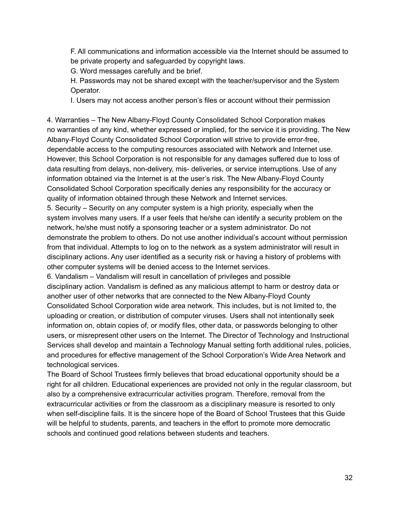F. All communications and information accessible via the Internet should be assumed to be private property and safeguarded by copyright laws.

G. Word messages carefully and be brief.

H. Passwords may not be shared except with the teacher/supervisor and the System Operator.

I. Users may not access another person's files or account without their permission

4. Warranties – The New Albany-Floyd County Consolidated School Corporation makes no warranties of any kind, whether expressed or implied, for the service it is providing. The New Albany-Floyd County Consolidated School Corporation will strive to provide error-free, dependable access to the computing resources associated with Network and Internet use. However, this School Corporation is not responsible for any damages suffered due to loss of data resulting from delays, non-delivery, mis- deliveries, or service interruptions. Use of any information obtained via the Internet is at the user's risk. The New Albany-Floyd County Consolidated School Corporation specifically denies any responsibility for the accuracy or quality of information obtained through these Network and Internet services.

5. Security – Security on any computer system is a high priority, especially when the system involves many users. If a user feels that he/she can identify a security problem on the network, he/she must notify a sponsoring teacher or a system administrator. Do not demonstrate the problem to others. Do not use another individual's account without permission from that individual. Attempts to log on to the network as a system administrator will result in disciplinary actions. Any user identified as a security risk or having a history of problems with other computer systems will be denied access to the Internet services.

6. Vandalism – Vandalism will result in cancellation of privileges and possible disciplinary action. Vandalism is defined as any malicious attempt to harm or destroy data or another user of other networks that are connected to the New Albany-Floyd County Consolidated School Corporation wide area network. This includes, but is not limited to, the uploading or creation, or distribution of computer viruses. Users shall not intentionally seek information on, obtain copies of, or modify files, other data, or passwords belonging to other users, or misrepresent other users on the Internet. The Director of Technology and Instructional Services shall develop and maintain a Technology Manual setting forth additional rules, policies, and procedures for effective management of the School Corporation's Wide Area Network and technological services.

The Board of School Trustees firmly believes that broad educational opportunity should be a right for all children. Educational experiences are provided not only in the regular classroom, but also by a comprehensive extracurricular activities program. Therefore, removal from the extracurricular activities or from the classroom as a disciplinary measure is resorted to only when self-discipline fails. It is the sincere hope of the Board of School Trustees that this Guide will be helpful to students, parents, and teachers in the effort to promote more democratic schools and continued good relations between students and teachers.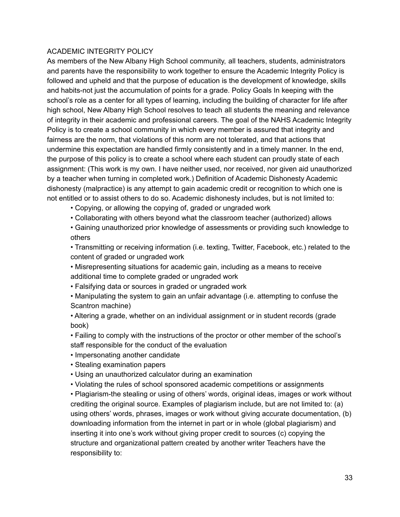#### ACADEMIC INTEGRITY POLICY

As members of the New Albany High School community, all teachers, students, administrators and parents have the responsibility to work together to ensure the Academic Integrity Policy is followed and upheld and that the purpose of education is the development of knowledge, skills and habits-not just the accumulation of points for a grade. Policy Goals In keeping with the school's role as a center for all types of learning, including the building of character for life after high school, New Albany High School resolves to teach all students the meaning and relevance of integrity in their academic and professional careers. The goal of the NAHS Academic Integrity Policy is to create a school community in which every member is assured that integrity and fairness are the norm, that violations of this norm are not tolerated, and that actions that undermine this expectation are handled firmly consistently and in a timely manner. In the end, the purpose of this policy is to create a school where each student can proudly state of each assignment: (This work is my own. I have neither used, nor received, nor given aid unauthorized by a teacher when turning in completed work.) Definition of Academic Dishonesty Academic dishonesty (malpractice) is any attempt to gain academic credit or recognition to which one is not entitled or to assist others to do so. Academic dishonesty includes, but is not limited to:

- Copying, or allowing the copying of, graded or ungraded work
- Collaborating with others beyond what the classroom teacher (authorized) allows
- Gaining unauthorized prior knowledge of assessments or providing such knowledge to others

• Transmitting or receiving information (i.e. texting, Twitter, Facebook, etc.) related to the content of graded or ungraded work

• Misrepresenting situations for academic gain, including as a means to receive additional time to complete graded or ungraded work

• Falsifying data or sources in graded or ungraded work

• Manipulating the system to gain an unfair advantage (i.e. attempting to confuse the Scantron machine)

• Altering a grade, whether on an individual assignment or in student records (grade book)

• Failing to comply with the instructions of the proctor or other member of the school's staff responsible for the conduct of the evaluation

- Impersonating another candidate
- Stealing examination papers
- Using an unauthorized calculator during an examination
- Violating the rules of school sponsored academic competitions or assignments

• Plagiarism-the stealing or using of others' words, original ideas, images or work without crediting the original source. Examples of plagiarism include, but are not limited to: (a) using others' words, phrases, images or work without giving accurate documentation, (b) downloading information from the internet in part or in whole (global plagiarism) and inserting it into one's work without giving proper credit to sources (c) copying the structure and organizational pattern created by another writer Teachers have the responsibility to: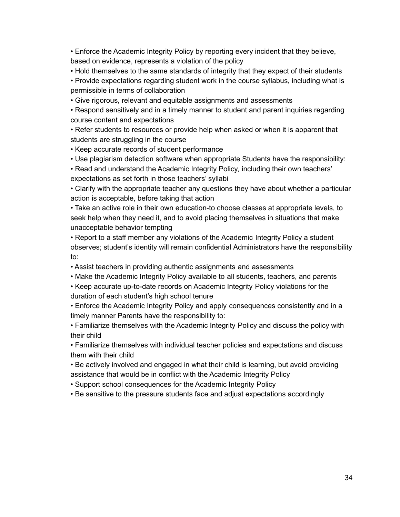• Enforce the Academic Integrity Policy by reporting every incident that they believe, based on evidence, represents a violation of the policy

• Hold themselves to the same standards of integrity that they expect of their students

• Provide expectations regarding student work in the course syllabus, including what is permissible in terms of collaboration

• Give rigorous, relevant and equitable assignments and assessments

• Respond sensitively and in a timely manner to student and parent inquiries regarding course content and expectations

• Refer students to resources or provide help when asked or when it is apparent that students are struggling in the course

• Keep accurate records of student performance

• Use plagiarism detection software when appropriate Students have the responsibility:

• Read and understand the Academic Integrity Policy, including their own teachers' expectations as set forth in those teachers' syllabi

• Clarify with the appropriate teacher any questions they have about whether a particular action is acceptable, before taking that action

• Take an active role in their own education-to choose classes at appropriate levels, to seek help when they need it, and to avoid placing themselves in situations that make unacceptable behavior tempting

• Report to a staff member any violations of the Academic Integrity Policy a student observes; student's identity will remain confidential Administrators have the responsibility to:

• Assist teachers in providing authentic assignments and assessments

• Make the Academic Integrity Policy available to all students, teachers, and parents

• Keep accurate up-to-date records on Academic Integrity Policy violations for the duration of each student's high school tenure

• Enforce the Academic Integrity Policy and apply consequences consistently and in a timely manner Parents have the responsibility to:

• Familiarize themselves with the Academic Integrity Policy and discuss the policy with their child

• Familiarize themselves with individual teacher policies and expectations and discuss them with their child

• Be actively involved and engaged in what their child is learning, but avoid providing assistance that would be in conflict with the Academic Integrity Policy

• Support school consequences for the Academic Integrity Policy

• Be sensitive to the pressure students face and adjust expectations accordingly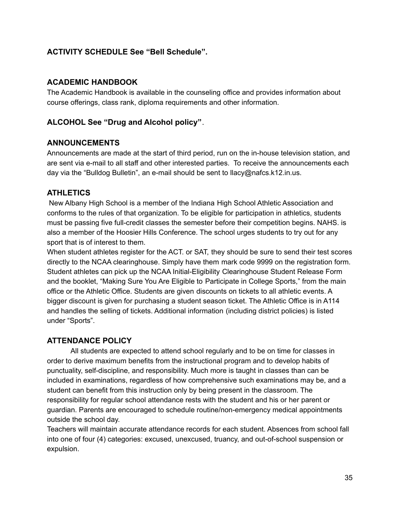## **ACTIVITY SCHEDULE See "Bell Schedule".**

## **ACADEMIC HANDBOOK**

The Academic Handbook is available in the counseling office and provides information about course offerings, class rank, diploma requirements and other information.

## **ALCOHOL See "Drug and Alcohol policy"**.

## **ANNOUNCEMENTS**

Announcements are made at the start of third period, run on the in-house television station, and are sent via e-mail to all staff and other interested parties. To receive the announcements each day via the "Bulldog Bulletin", an e-mail should be sent to llacy@nafcs.k12.in.us.

## **ATHLETICS**

New Albany High School is a member of the Indiana High School Athletic Association and conforms to the rules of that organization. To be eligible for participation in athletics, students must be passing five full-credit classes the semester before their competition begins. NAHS. is also a member of the Hoosier Hills Conference. The school urges students to try out for any sport that is of interest to them.

When student athletes register for the ACT. or SAT, they should be sure to send their test scores directly to the NCAA clearinghouse. Simply have them mark code 9999 on the registration form. Student athletes can pick up the NCAA Initial-Eligibility Clearinghouse Student Release Form and the booklet, "Making Sure You Are Eligible to Participate in College Sports," from the main office or the Athletic Office. Students are given discounts on tickets to all athletic events. A bigger discount is given for purchasing a student season ticket. The Athletic Office is in A114 and handles the selling of tickets. Additional information (including district policies) is listed under "Sports".

## **ATTENDANCE POLICY**

All students are expected to attend school regularly and to be on time for classes in order to derive maximum benefits from the instructional program and to develop habits of punctuality, self-discipline, and responsibility. Much more is taught in classes than can be included in examinations, regardless of how comprehensive such examinations may be, and a student can benefit from this instruction only by being present in the classroom. The responsibility for regular school attendance rests with the student and his or her parent or guardian. Parents are encouraged to schedule routine/non-emergency medical appointments outside the school day.

Teachers will maintain accurate attendance records for each student. Absences from school fall into one of four (4) categories: excused, unexcused, truancy, and out-of-school suspension or expulsion.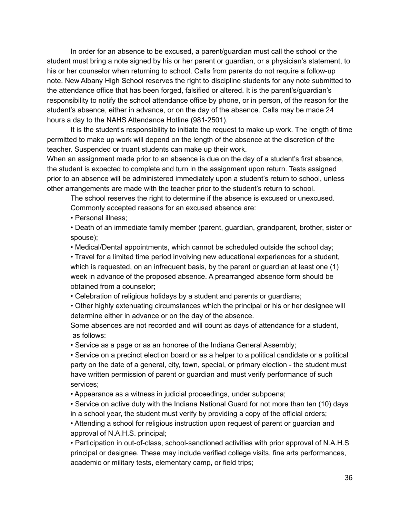In order for an absence to be excused, a parent/guardian must call the school or the student must bring a note signed by his or her parent or guardian, or a physician's statement, to his or her counselor when returning to school. Calls from parents do not require a follow-up note. New Albany High School reserves the right to discipline students for any note submitted to the attendance office that has been forged, falsified or altered. It is the parent's/guardian's responsibility to notify the school attendance office by phone, or in person, of the reason for the student's absence, either in advance, or on the day of the absence. Calls may be made 24 hours a day to the NAHS Attendance Hotline (981-2501).

It is the student's responsibility to initiate the request to make up work. The length of time permitted to make up work will depend on the length of the absence at the discretion of the teacher. Suspended or truant students can make up their work.

When an assignment made prior to an absence is due on the day of a student's first absence, the student is expected to complete and turn in the assignment upon return. Tests assigned prior to an absence will be administered immediately upon a student's return to school, unless other arrangements are made with the teacher prior to the student's return to school.

The school reserves the right to determine if the absence is excused or unexcused. Commonly accepted reasons for an excused absence are:

• Personal illness;

• Death of an immediate family member (parent, guardian, grandparent, brother, sister or spouse);

• Medical/Dental appointments, which cannot be scheduled outside the school day;

• Travel for a limited time period involving new educational experiences for a student, which is requested, on an infrequent basis, by the parent or guardian at least one (1) week in advance of the proposed absence. A prearranged absence form should be obtained from a counselor;

• Celebration of religious holidays by a student and parents or guardians;

• Other highly extenuating circumstances which the principal or his or her designee will determine either in advance or on the day of the absence.

Some absences are not recorded and will count as days of attendance for a student, as follows:

• Service as a page or as an honoree of the Indiana General Assembly;

• Service on a precinct election board or as a helper to a political candidate or a political party on the date of a general, city, town, special, or primary election - the student must have written permission of parent or guardian and must verify performance of such services;

• Appearance as a witness in judicial proceedings, under subpoena;

• Service on active duty with the Indiana National Guard for not more than ten (10) days in a school year, the student must verify by providing a copy of the official orders;

• Attending a school for religious instruction upon request of parent or guardian and approval of N.A.H.S. principal;

• Participation in out-of-class, school-sanctioned activities with prior approval of N.A.H.S principal or designee. These may include verified college visits, fine arts performances, academic or military tests, elementary camp, or field trips;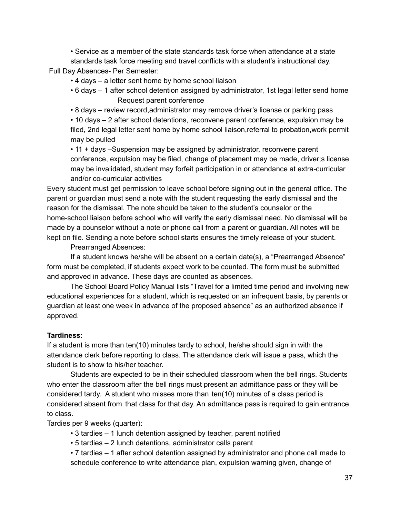• Service as a member of the state standards task force when attendance at a state standards task force meeting and travel conflicts with a student's instructional day.

Full Day Absences- Per Semester:

- 4 days a letter sent home by home school liaison
- 6 days 1 after school detention assigned by administrator, 1st legal letter send home Request parent conference
- 8 days review record,administrator may remove driver's license or parking pass

• 10 days – 2 after school detentions, reconvene parent conference, expulsion may be filed, 2nd legal letter sent home by home school liaison,referral to probation,work permit may be pulled

• 11 + days –Suspension may be assigned by administrator, reconvene parent conference, expulsion may be filed, change of placement may be made, driver;s license may be invalidated, student may forfeit participation in or attendance at extra-curricular and/or co-curricular activities

Every student must get permission to leave school before signing out in the general office. The parent or guardian must send a note with the student requesting the early dismissal and the reason for the dismissal. The note should be taken to the student's counselor or the home-school liaison before school who will verify the early dismissal need. No dismissal will be made by a counselor without a note or phone call from a parent or guardian. All notes will be kept on file. Sending a note before school starts ensures the timely release of your student.

Prearranged Absences:

If a student knows he/she will be absent on a certain date(s), a "Prearranged Absence" form must be completed, if students expect work to be counted. The form must be submitted and approved in advance. These days are counted as absences.

The School Board Policy Manual lists "Travel for a limited time period and involving new educational experiences for a student, which is requested on an infrequent basis, by parents or guardian at least one week in advance of the proposed absence" as an authorized absence if approved.

### **Tardiness:**

If a student is more than ten(10) minutes tardy to school, he/she should sign in with the attendance clerk before reporting to class. The attendance clerk will issue a pass, which the student is to show to his/her teacher.

Students are expected to be in their scheduled classroom when the bell rings. Students who enter the classroom after the bell rings must present an admittance pass or they will be considered tardy. A student who misses more than ten(10) minutes of a class period is considered absent from that class for that day. An admittance pass is required to gain entrance to class.

Tardies per 9 weeks (quarter):

- 3 tardies 1 lunch detention assigned by teacher, parent notified
- 5 tardies 2 lunch detentions, administrator calls parent

• 7 tardies – 1 after school detention assigned by administrator and phone call made to schedule conference to write attendance plan, expulsion warning given, change of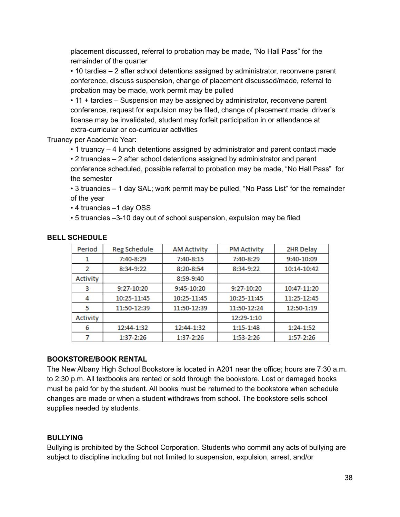placement discussed, referral to probation may be made, "No Hall Pass" for the remainder of the quarter

• 10 tardies – 2 after school detentions assigned by administrator, reconvene parent conference, discuss suspension, change of placement discussed/made, referral to probation may be made, work permit may be pulled

• 11 + tardies – Suspension may be assigned by administrator, reconvene parent conference, request for expulsion may be filed, change of placement made, driver's license may be invalidated, student may forfeit participation in or attendance at extra-curricular or co-curricular activities

Truancy per Academic Year:

• 1 truancy – 4 lunch detentions assigned by administrator and parent contact made

• 2 truancies – 2 after school detentions assigned by administrator and parent conference scheduled, possible referral to probation may be made, "No Hall Pass" for the semester

• 3 truancies – 1 day SAL; work permit may be pulled, "No Pass List" for the remainder of the year

• 4 truancies –1 day OSS

• 5 truancies –3-10 day out of school suspension, expulsion may be filed

| Period   | <b>Reg Schedule</b> | <b>AM Activity</b> | <b>PM Activity</b> | 2HR Delay   |
|----------|---------------------|--------------------|--------------------|-------------|
|          | 7:40-8:29           | $7:40-8:15$        | 7:40-8:29          | 9:40-10:09  |
| 2        | 8:34-9:22           | 8:20-8:54          | 8:34-9:22          | 10:14-10:42 |
| Activity |                     | $8:59-9:40$        |                    |             |
| 3        | 9:27-10:20          | $9:45-10:20$       | 9:27-10:20         | 10:47-11:20 |
| 4        | 10:25-11:45         | 10:25-11:45        | 10:25-11:45        | 11:25-12:45 |
| 5        | 11:50-12:39         | 11:50-12:39        | 11:50-12:24        | 12:50-1:19  |
| Activity |                     |                    | 12:29-1:10         |             |
| 6        | 12:44-1:32          | 12:44-1:32         | $1:15-1:48$        | $1:24-1:52$ |
|          | 1:37-2:26           | 1:37-2:26          | $1:53-2:26$        | 1:57-2:26   |

#### **BELL SCHEDULE**

### **BOOKSTORE/BOOK RENTAL**

The New Albany High School Bookstore is located in A201 near the office; hours are 7:30 a.m. to 2:30 p.m. All textbooks are rented or sold through the bookstore. Lost or damaged books must be paid for by the student. All books must be returned to the bookstore when schedule changes are made or when a student withdraws from school. The bookstore sells school supplies needed by students.

### **BULLYING**

Bullying is prohibited by the School Corporation. Students who commit any acts of bullying are subject to discipline including but not limited to suspension, expulsion, arrest, and/or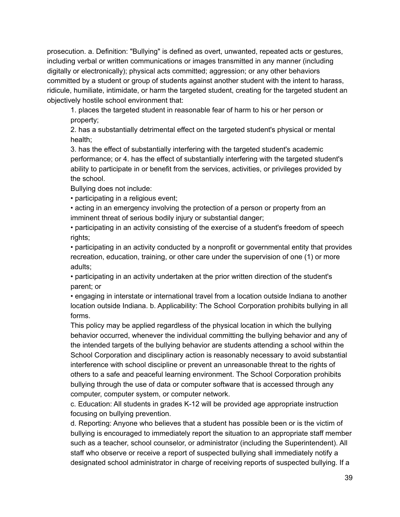prosecution. a. Definition: "Bullying" is defined as overt, unwanted, repeated acts or gestures, including verbal or written communications or images transmitted in any manner (including digitally or electronically); physical acts committed; aggression; or any other behaviors committed by a student or group of students against another student with the intent to harass, ridicule, humiliate, intimidate, or harm the targeted student, creating for the targeted student an objectively hostile school environment that:

1. places the targeted student in reasonable fear of harm to his or her person or property;

2. has a substantially detrimental effect on the targeted student's physical or mental health;

3. has the effect of substantially interfering with the targeted student's academic performance; or 4. has the effect of substantially interfering with the targeted student's ability to participate in or benefit from the services, activities, or privileges provided by the school.

Bullying does not include:

• participating in a religious event;

• acting in an emergency involving the protection of a person or property from an imminent threat of serious bodily injury or substantial danger;

• participating in an activity consisting of the exercise of a student's freedom of speech rights;

• participating in an activity conducted by a nonprofit or governmental entity that provides recreation, education, training, or other care under the supervision of one (1) or more adults;

• participating in an activity undertaken at the prior written direction of the student's parent; or

• engaging in interstate or international travel from a location outside Indiana to another location outside Indiana. b. Applicability: The School Corporation prohibits bullying in all forms.

This policy may be applied regardless of the physical location in which the bullying behavior occurred, whenever the individual committing the bullying behavior and any of the intended targets of the bullying behavior are students attending a school within the School Corporation and disciplinary action is reasonably necessary to avoid substantial interference with school discipline or prevent an unreasonable threat to the rights of others to a safe and peaceful learning environment. The School Corporation prohibits bullying through the use of data or computer software that is accessed through any computer, computer system, or computer network.

c. Education: All students in grades K-12 will be provided age appropriate instruction focusing on bullying prevention.

d. Reporting: Anyone who believes that a student has possible been or is the victim of bullying is encouraged to immediately report the situation to an appropriate staff member such as a teacher, school counselor, or administrator (including the Superintendent). All staff who observe or receive a report of suspected bullying shall immediately notify a designated school administrator in charge of receiving reports of suspected bullying. If a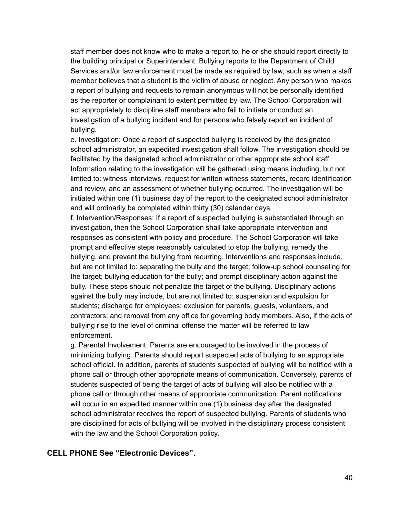staff member does not know who to make a report to, he or she should report directly to the building principal or Superintendent. Bullying reports to the Department of Child Services and/or law enforcement must be made as required by law, such as when a staff member believes that a student is the victim of abuse or neglect. Any person who makes a report of bullying and requests to remain anonymous will not be personally identified as the reporter or complainant to extent permitted by law. The School Corporation will act appropriately to discipline staff members who fail to initiate or conduct an investigation of a bullying incident and for persons who falsely report an incident of bullying.

e. Investigation: Once a report of suspected bullying is received by the designated school administrator, an expedited investigation shall follow. The investigation should be facilitated by the designated school administrator or other appropriate school staff. Information relating to the investigation will be gathered using means including, but not limited to: witness interviews, request for written witness statements, record identification and review, and an assessment of whether bullying occurred. The investigation will be initiated within one (1) business day of the report to the designated school administrator and will ordinarily be completed within thirty (30) calendar days.

f. Intervention/Responses: If a report of suspected bullying is substantiated through an investigation, then the School Corporation shall take appropriate intervention and responses as consistent with policy and procedure. The School Corporation will take prompt and effective steps reasonably calculated to stop the bullying, remedy the bullying, and prevent the bullying from recurring. Interventions and responses include, but are not limited to: separating the bully and the target; follow-up school counseling for the target; bullying education for the bully; and prompt disciplinary action against the bully. These steps should not penalize the target of the bullying. Disciplinary actions against the bully may include, but are not limited to: suspension and expulsion for students; discharge for employees; exclusion for parents, guests, volunteers, and contractors; and removal from any office for governing body members. Also, if the acts of bullying rise to the level of criminal offense the matter will be referred to law enforcement.

g. Parental Involvement: Parents are encouraged to be involved in the process of minimizing bullying. Parents should report suspected acts of bullying to an appropriate school official. In addition, parents of students suspected of bullying will be notified with a phone call or through other appropriate means of communication. Conversely, parents of students suspected of being the target of acts of bullying will also be notified with a phone call or through other means of appropriate communication. Parent notifications will occur in an expedited manner within one (1) business day after the designated school administrator receives the report of suspected bullying. Parents of students who are disciplined for acts of bullying will be involved in the disciplinary process consistent with the law and the School Corporation policy.

#### **CELL PHONE See "Electronic Devices".**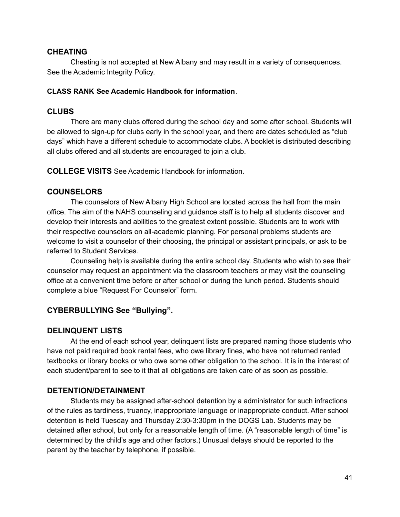#### **CHEATING**

Cheating is not accepted at New Albany and may result in a variety of consequences. See the Academic Integrity Policy.

#### **CLASS RANK See Academic Handbook for information**.

#### **CLUBS**

There are many clubs offered during the school day and some after school. Students will be allowed to sign-up for clubs early in the school year, and there are dates scheduled as "club days" which have a different schedule to accommodate clubs. A booklet is distributed describing all clubs offered and all students are encouraged to join a club.

**COLLEGE VISITS** See Academic Handbook for information.

### **COUNSELORS**

The counselors of New Albany High School are located across the hall from the main office. The aim of the NAHS counseling and guidance staff is to help all students discover and develop their interests and abilities to the greatest extent possible. Students are to work with their respective counselors on all-academic planning. For personal problems students are welcome to visit a counselor of their choosing, the principal or assistant principals, or ask to be referred to Student Services.

Counseling help is available during the entire school day. Students who wish to see their counselor may request an appointment via the classroom teachers or may visit the counseling office at a convenient time before or after school or during the lunch period. Students should complete a blue "Request For Counselor" form.

### **CYBERBULLYING See "Bullying".**

### **DELINQUENT LISTS**

At the end of each school year, delinquent lists are prepared naming those students who have not paid required book rental fees, who owe library fines, who have not returned rented textbooks or library books or who owe some other obligation to the school. It is in the interest of each student/parent to see to it that all obligations are taken care of as soon as possible.

### **DETENTION/DETAINMENT**

Students may be assigned after-school detention by a administrator for such infractions of the rules as tardiness, truancy, inappropriate language or inappropriate conduct. After school detention is held Tuesday and Thursday 2:30-3:30pm in the DOGS Lab. Students may be detained after school, but only for a reasonable length of time. (A "reasonable length of time" is determined by the child's age and other factors.) Unusual delays should be reported to the parent by the teacher by telephone, if possible.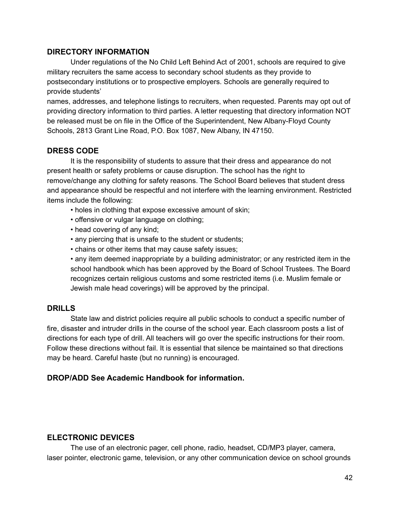#### **DIRECTORY INFORMATION**

Under regulations of the No Child Left Behind Act of 2001, schools are required to give military recruiters the same access to secondary school students as they provide to postsecondary institutions or to prospective employers. Schools are generally required to provide students'

names, addresses, and telephone listings to recruiters, when requested. Parents may opt out of providing directory information to third parties. A letter requesting that directory information NOT be released must be on file in the Office of the Superintendent, New Albany-Floyd County Schools, 2813 Grant Line Road, P.O. Box 1087, New Albany, IN 47150.

## **DRESS CODE**

It is the responsibility of students to assure that their dress and appearance do not present health or safety problems or cause disruption. The school has the right to remove/change any clothing for safety reasons. The School Board believes that student dress and appearance should be respectful and not interfere with the learning environment. Restricted items include the following:

- holes in clothing that expose excessive amount of skin;
- offensive or vulgar language on clothing;
- head covering of any kind;
- any piercing that is unsafe to the student or students;
- chains or other items that may cause safety issues;

• any item deemed inappropriate by a building administrator; or any restricted item in the school handbook which has been approved by the Board of School Trustees. The Board recognizes certain religious customs and some restricted items (i.e. Muslim female or Jewish male head coverings) will be approved by the principal.

### **DRILLS**

State law and district policies require all public schools to conduct a specific number of fire, disaster and intruder drills in the course of the school year. Each classroom posts a list of directions for each type of drill. All teachers will go over the specific instructions for their room. Follow these directions without fail. It is essential that silence be maintained so that directions may be heard. Careful haste (but no running) is encouraged.

### **DROP/ADD See Academic Handbook for information.**

### **ELECTRONIC DEVICES**

The use of an electronic pager, cell phone, radio, headset, CD/MP3 player, camera, laser pointer, electronic game, television, or any other communication device on school grounds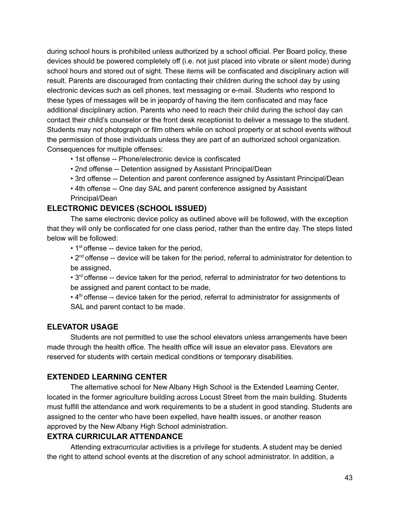during school hours is prohibited unless authorized by a school official. Per Board policy, these devices should be powered completely off (i.e. not just placed into vibrate or silent mode) during school hours and stored out of sight. These items will be confiscated and disciplinary action will result. Parents are discouraged from contacting their children during the school day by using electronic devices such as cell phones, text messaging or e-mail. Students who respond to these types of messages will be in jeopardy of having the item confiscated and may face additional disciplinary action. Parents who need to reach their child during the school day can contact their child's counselor or the front desk receptionist to deliver a message to the student. Students may not photograph or film others while on school property or at school events without the permission of those individuals unless they are part of an authorized school organization. Consequences for multiple offenses:

- 1st offense -- Phone/electronic device is confiscated
- 2nd offense -- Detention assigned by Assistant Principal/Dean
- 3rd offense -- Detention and parent conference assigned by Assistant Principal/Dean
- 4th offense -- One day SAL and parent conference assigned by Assistant Principal/Dean

## **ELECTRONIC DEVICES (SCHOOL ISSUED)**

The same electronic device policy as outlined above will be followed, with the exception that they will only be confiscated for one class period, rather than the entire day. The steps listed below will be followed:

• 1<sup>st</sup> offense -- device taken for the period,

• 2<sup>nd</sup> offense -- device will be taken for the period, referral to administrator for detention to be assigned,

 $\cdot$  3<sup>rd</sup> offense -- device taken for the period, referral to administrator for two detentions to be assigned and parent contact to be made,

 $\cdot$  4<sup>th</sup> offense -- device taken for the period, referral to administrator for assignments of SAL and parent contact to be made.

### **ELEVATOR USAGE**

Students are not permitted to use the school elevators unless arrangements have been made through the health office. The health office will issue an elevator pass. Elevators are reserved for students with certain medical conditions or temporary disabilities.

### **EXTENDED LEARNING CENTER**

The alternative school for New Albany High School is the Extended Learning Center, located in the former agriculture building across Locust Street from the main building. Students must fulfill the attendance and work requirements to be a student in good standing. Students are assigned to the center who have been expelled, have health issues, or another reason approved by the New Albany High School administration.

### **EXTRA CURRICULAR ATTENDANCE**

Attending extracurricular activities is a privilege for students. A student may be denied the right to attend school events at the discretion of any school administrator. In addition, a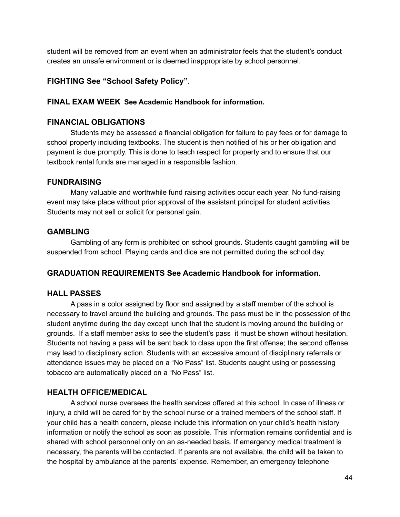student will be removed from an event when an administrator feels that the student's conduct creates an unsafe environment or is deemed inappropriate by school personnel.

## **FIGHTING See "School Safety Policy"**.

### **FINAL EXAM WEEK See Academic Handbook for information.**

### **FINANCIAL OBLIGATIONS**

Students may be assessed a financial obligation for failure to pay fees or for damage to school property including textbooks. The student is then notified of his or her obligation and payment is due promptly. This is done to teach respect for property and to ensure that our textbook rental funds are managed in a responsible fashion.

### **FUNDRAISING**

Many valuable and worthwhile fund raising activities occur each year. No fund-raising event may take place without prior approval of the assistant principal for student activities. Students may not sell or solicit for personal gain.

## **GAMBLING**

Gambling of any form is prohibited on school grounds. Students caught gambling will be suspended from school. Playing cards and dice are not permitted during the school day.

## **GRADUATION REQUIREMENTS See Academic Handbook for information.**

### **HALL PASSES**

A pass in a color assigned by floor and assigned by a staff member of the school is necessary to travel around the building and grounds. The pass must be in the possession of the student anytime during the day except lunch that the student is moving around the building or grounds. If a staff member asks to see the student's pass it must be shown without hesitation. Students not having a pass will be sent back to class upon the first offense; the second offense may lead to disciplinary action. Students with an excessive amount of disciplinary referrals or attendance issues may be placed on a "No Pass" list. Students caught using or possessing tobacco are automatically placed on a "No Pass" list.

### **HEALTH OFFICE/MEDICAL**

A school nurse oversees the health services offered at this school. In case of illness or injury, a child will be cared for by the school nurse or a trained members of the school staff. If your child has a health concern, please include this information on your child's health history information or notify the school as soon as possible. This information remains confidential and is shared with school personnel only on an as-needed basis. If emergency medical treatment is necessary, the parents will be contacted. If parents are not available, the child will be taken to the hospital by ambulance at the parents' expense. Remember, an emergency telephone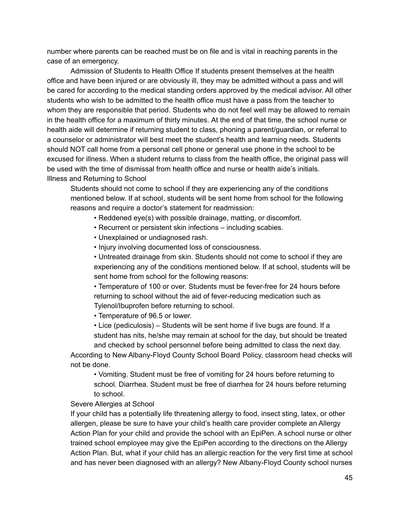number where parents can be reached must be on file and is vital in reaching parents in the case of an emergency.

Admission of Students to Health Office If students present themselves at the health office and have been injured or are obviously ill, they may be admitted without a pass and will be cared for according to the medical standing orders approved by the medical advisor. All other students who wish to be admitted to the health office must have a pass from the teacher to whom they are responsible that period. Students who do not feel well may be allowed to remain in the health office for a maximum of thirty minutes. At the end of that time, the school nurse or health aide will determine if returning student to class, phoning a parent/guardian, or referral to a counselor or administrator will best meet the student's health and learning needs. Students should NOT call home from a personal cell phone or general use phone in the school to be excused for illness. When a student returns to class from the health office, the original pass will be used with the time of dismissal from health office and nurse or health aide's initials. Illness and Returning to School

Students should not come to school if they are experiencing any of the conditions mentioned below. If at school, students will be sent home from school for the following reasons and require a doctor's statement for readmission:

- Reddened eye(s) with possible drainage, matting, or discomfort.
- Recurrent or persistent skin infections including scabies.
- Unexplained or undiagnosed rash.
- Injury involving documented loss of consciousness.

• Untreated drainage from skin. Students should not come to school if they are experiencing any of the conditions mentioned below. If at school, students will be sent home from school for the following reasons:

• Temperature of 100 or over. Students must be fever-free for 24 hours before returning to school without the aid of fever-reducing medication such as Tylenol/Ibuprofen before returning to school.

• Temperature of 96.5 or lower.

• Lice (pediculosis) – Students will be sent home if live bugs are found. If a student has nits, he/she may remain at school for the day, but should be treated

and checked by school personnel before being admitted to class the next day. According to New Albany-Floyd County School Board Policy, classroom head checks will not be done.

• Vomiting. Student must be free of vomiting for 24 hours before returning to school. Diarrhea. Student must be free of diarrhea for 24 hours before returning to school.

#### Severe Allergies at School

If your child has a potentially life threatening allergy to food, insect sting, latex, or other allergen, please be sure to have your child's health care provider complete an Allergy Action Plan for your child and provide the school with an EpiPen. A school nurse or other trained school employee may give the EpiPen according to the directions on the Allergy Action Plan. But, what if your child has an allergic reaction for the very first time at school and has never been diagnosed with an allergy? New Albany-Floyd County school nurses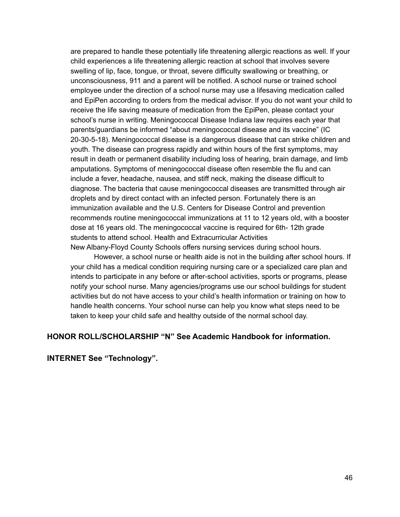are prepared to handle these potentially life threatening allergic reactions as well. If your child experiences a life threatening allergic reaction at school that involves severe swelling of lip, face, tongue, or throat, severe difficulty swallowing or breathing, or unconsciousness, 911 and a parent will be notified. A school nurse or trained school employee under the direction of a school nurse may use a lifesaving medication called and EpiPen according to orders from the medical advisor. If you do not want your child to receive the life saving measure of medication from the EpiPen, please contact your school's nurse in writing. Meningococcal Disease Indiana law requires each year that parents/guardians be informed "about meningococcal disease and its vaccine" (IC 20-30-5-18). Meningococcal disease is a dangerous disease that can strike children and youth. The disease can progress rapidly and within hours of the first symptoms, may result in death or permanent disability including loss of hearing, brain damage, and limb amputations. Symptoms of meningococcal disease often resemble the flu and can include a fever, headache, nausea, and stiff neck, making the disease difficult to diagnose. The bacteria that cause meningococcal diseases are transmitted through air droplets and by direct contact with an infected person. Fortunately there is an immunization available and the U.S. Centers for Disease Control and prevention recommends routine meningococcal immunizations at 11 to 12 years old, with a booster dose at 16 years old. The meningococcal vaccine is required for 6th- 12th grade students to attend school. Health and Extracurricular Activities New Albany-Floyd County Schools offers nursing services during school hours.

However, a school nurse or health aide is not in the building after school hours. If your child has a medical condition requiring nursing care or a specialized care plan and intends to participate in any before or after-school activities, sports or programs, please notify your school nurse. Many agencies/programs use our school buildings for student activities but do not have access to your child's health information or training on how to handle health concerns. Your school nurse can help you know what steps need to be taken to keep your child safe and healthy outside of the normal school day.

### **HONOR ROLL/SCHOLARSHIP "N" See Academic Handbook for information.**

**INTERNET See "Technology".**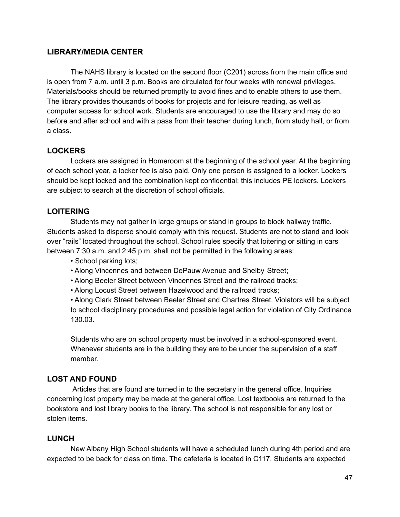### **LIBRARY/MEDIA CENTER**

The NAHS library is located on the second floor (C201) across from the main office and is open from 7 a.m. until 3 p.m. Books are circulated for four weeks with renewal privileges. Materials/books should be returned promptly to avoid fines and to enable others to use them. The library provides thousands of books for projects and for leisure reading, as well as computer access for school work. Students are encouraged to use the library and may do so before and after school and with a pass from their teacher during lunch, from study hall, or from a class.

### **LOCKERS**

Lockers are assigned in Homeroom at the beginning of the school year. At the beginning of each school year, a locker fee is also paid. Only one person is assigned to a locker. Lockers should be kept locked and the combination kept confidential; this includes PE lockers. Lockers are subject to search at the discretion of school officials.

## **LOITERING**

Students may not gather in large groups or stand in groups to block hallway traffic. Students asked to disperse should comply with this request. Students are not to stand and look over "rails" located throughout the school. School rules specify that loitering or sitting in cars between 7:30 a.m. and 2:45 p.m. shall not be permitted in the following areas:

- School parking lots;
- Along Vincennes and between DePauw Avenue and Shelby Street;
- Along Beeler Street between Vincennes Street and the railroad tracks;
- Along Locust Street between Hazelwood and the railroad tracks;

• Along Clark Street between Beeler Street and Chartres Street. Violators will be subject to school disciplinary procedures and possible legal action for violation of City Ordinance 130.03.

Students who are on school property must be involved in a school-sponsored event. Whenever students are in the building they are to be under the supervision of a staff member.

### **LOST AND FOUND**

Articles that are found are turned in to the secretary in the general office. Inquiries concerning lost property may be made at the general office. Lost textbooks are returned to the bookstore and lost library books to the library. The school is not responsible for any lost or stolen items.

### **LUNCH**

New Albany High School students will have a scheduled lunch during 4th period and are expected to be back for class on time. The cafeteria is located in C117. Students are expected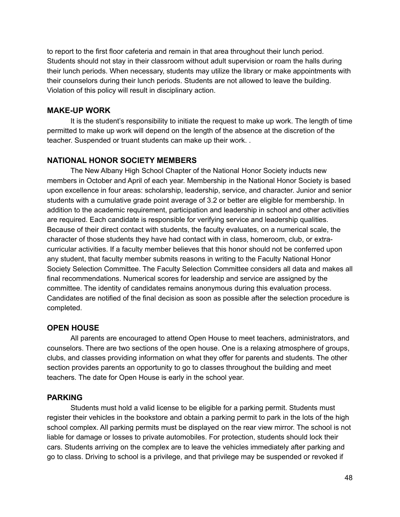to report to the first floor cafeteria and remain in that area throughout their lunch period. Students should not stay in their classroom without adult supervision or roam the halls during their lunch periods. When necessary, students may utilize the library or make appointments with their counselors during their lunch periods. Students are not allowed to leave the building. Violation of this policy will result in disciplinary action.

#### **MAKE-UP WORK**

It is the student's responsibility to initiate the request to make up work. The length of time permitted to make up work will depend on the length of the absence at the discretion of the teacher. Suspended or truant students can make up their work. .

### **NATIONAL HONOR SOCIETY MEMBERS**

The New Albany High School Chapter of the National Honor Society inducts new members in October and April of each year. Membership in the National Honor Society is based upon excellence in four areas: scholarship, leadership, service, and character. Junior and senior students with a cumulative grade point average of 3.2 or better are eligible for membership. In addition to the academic requirement, participation and leadership in school and other activities are required. Each candidate is responsible for verifying service and leadership qualities. Because of their direct contact with students, the faculty evaluates, on a numerical scale, the character of those students they have had contact with in class, homeroom, club, or extracurricular activities. If a faculty member believes that this honor should not be conferred upon any student, that faculty member submits reasons in writing to the Faculty National Honor Society Selection Committee. The Faculty Selection Committee considers all data and makes all final recommendations. Numerical scores for leadership and service are assigned by the committee. The identity of candidates remains anonymous during this evaluation process. Candidates are notified of the final decision as soon as possible after the selection procedure is completed.

### **OPEN HOUSE**

All parents are encouraged to attend Open House to meet teachers, administrators, and counselors. There are two sections of the open house. One is a relaxing atmosphere of groups, clubs, and classes providing information on what they offer for parents and students. The other section provides parents an opportunity to go to classes throughout the building and meet teachers. The date for Open House is early in the school year.

### **PARKING**

Students must hold a valid license to be eligible for a parking permit. Students must register their vehicles in the bookstore and obtain a parking permit to park in the lots of the high school complex. All parking permits must be displayed on the rear view mirror. The school is not liable for damage or losses to private automobiles. For protection, students should lock their cars. Students arriving on the complex are to leave the vehicles immediately after parking and go to class. Driving to school is a privilege, and that privilege may be suspended or revoked if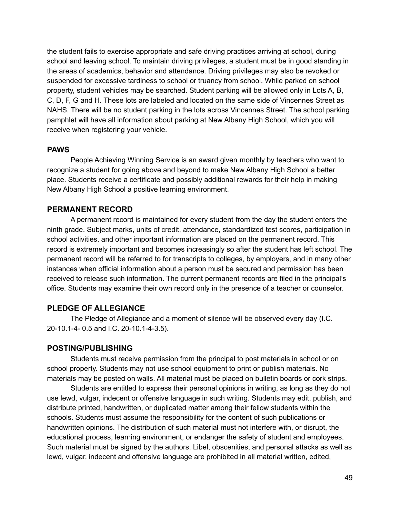the student fails to exercise appropriate and safe driving practices arriving at school, during school and leaving school. To maintain driving privileges, a student must be in good standing in the areas of academics, behavior and attendance. Driving privileges may also be revoked or suspended for excessive tardiness to school or truancy from school. While parked on school property, student vehicles may be searched. Student parking will be allowed only in Lots A, B, C, D, F, G and H. These lots are labeled and located on the same side of Vincennes Street as NAHS. There will be no student parking in the lots across Vincennes Street. The school parking pamphlet will have all information about parking at New Albany High School, which you will receive when registering your vehicle.

#### **PAWS**

People Achieving Winning Service is an award given monthly by teachers who want to recognize a student for going above and beyond to make New Albany High School a better place. Students receive a certificate and possibly additional rewards for their help in making New Albany High School a positive learning environment.

#### **PERMANENT RECORD**

A permanent record is maintained for every student from the day the student enters the ninth grade. Subject marks, units of credit, attendance, standardized test scores, participation in school activities, and other important information are placed on the permanent record. This record is extremely important and becomes increasingly so after the student has left school. The permanent record will be referred to for transcripts to colleges, by employers, and in many other instances when official information about a person must be secured and permission has been received to release such information. The current permanent records are filed in the principal's office. Students may examine their own record only in the presence of a teacher or counselor.

### **PLEDGE OF ALLEGIANCE**

The Pledge of Allegiance and a moment of silence will be observed every day (I.C. 20-10.1-4- 0.5 and I.C. 20-10.1-4-3.5).

#### **POSTING/PUBLISHING**

Students must receive permission from the principal to post materials in school or on school property. Students may not use school equipment to print or publish materials. No materials may be posted on walls. All material must be placed on bulletin boards or cork strips.

Students are entitled to express their personal opinions in writing, as long as they do not use lewd, vulgar, indecent or offensive language in such writing. Students may edit, publish, and distribute printed, handwritten, or duplicated matter among their fellow students within the schools. Students must assume the responsibility for the content of such publications or handwritten opinions. The distribution of such material must not interfere with, or disrupt, the educational process, learning environment, or endanger the safety of student and employees. Such material must be signed by the authors. Libel, obscenities, and personal attacks as well as lewd, vulgar, indecent and offensive language are prohibited in all material written, edited,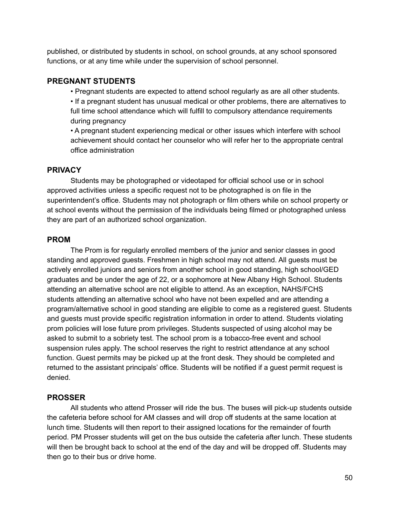published, or distributed by students in school, on school grounds, at any school sponsored functions, or at any time while under the supervision of school personnel.

### **PREGNANT STUDENTS**

• Pregnant students are expected to attend school regularly as are all other students.

• If a pregnant student has unusual medical or other problems, there are alternatives to full time school attendance which will fulfill to compulsory attendance requirements during pregnancy

• A pregnant student experiencing medical or other issues which interfere with school achievement should contact her counselor who will refer her to the appropriate central office administration

## **PRIVACY**

Students may be photographed or videotaped for official school use or in school approved activities unless a specific request not to be photographed is on file in the superintendent's office. Students may not photograph or film others while on school property or at school events without the permission of the individuals being filmed or photographed unless they are part of an authorized school organization.

## **PROM**

The Prom is for regularly enrolled members of the junior and senior classes in good standing and approved guests. Freshmen in high school may not attend. All guests must be actively enrolled juniors and seniors from another school in good standing, high school/GED graduates and be under the age of 22, or a sophomore at New Albany High School. Students attending an alternative school are not eligible to attend. As an exception, NAHS/FCHS students attending an alternative school who have not been expelled and are attending a program/alternative school in good standing are eligible to come as a registered guest. Students and guests must provide specific registration information in order to attend. Students violating prom policies will lose future prom privileges. Students suspected of using alcohol may be asked to submit to a sobriety test. The school prom is a tobacco-free event and school suspension rules apply. The school reserves the right to restrict attendance at any school function. Guest permits may be picked up at the front desk. They should be completed and returned to the assistant principals' office. Students will be notified if a guest permit request is denied.

### **PROSSER**

All students who attend Prosser will ride the bus. The buses will pick-up students outside the cafeteria before school for AM classes and will drop off students at the same location at lunch time. Students will then report to their assigned locations for the remainder of fourth period. PM Prosser students will get on the bus outside the cafeteria after lunch. These students will then be brought back to school at the end of the day and will be dropped off. Students may then go to their bus or drive home.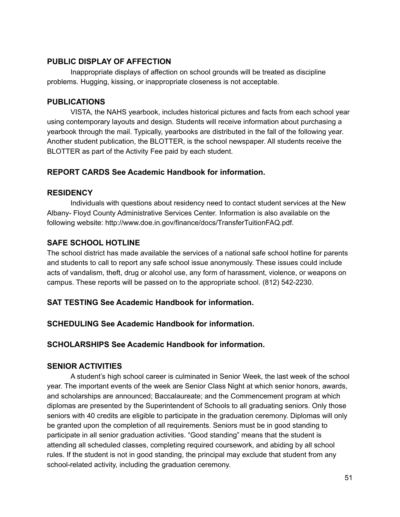### **PUBLIC DISPLAY OF AFFECTION**

Inappropriate displays of affection on school grounds will be treated as discipline problems. Hugging, kissing, or inappropriate closeness is not acceptable.

## **PUBLICATIONS**

VISTA, the NAHS yearbook, includes historical pictures and facts from each school year using contemporary layouts and design. Students will receive information about purchasing a yearbook through the mail. Typically, yearbooks are distributed in the fall of the following year. Another student publication, the BLOTTER, is the school newspaper. All students receive the BLOTTER as part of the Activity Fee paid by each student.

## **REPORT CARDS See Academic Handbook for information.**

## **RESIDENCY**

Individuals with questions about residency need to contact student services at the New Albany- Floyd County Administrative Services Center. Information is also available on the following website: http://www.doe.in.gov/finance/docs/TransferTuitionFAQ.pdf.

## **SAFE SCHOOL HOTLINE**

The school district has made available the services of a national safe school hotline for parents and students to call to report any safe school issue anonymously. These issues could include acts of vandalism, theft, drug or alcohol use, any form of harassment, violence, or weapons on campus. These reports will be passed on to the appropriate school. (812) 542-2230.

## **SAT TESTING See Academic Handbook for information.**

**SCHEDULING See Academic Handbook for information.**

**SCHOLARSHIPS See Academic Handbook for information.**

## **SENIOR ACTIVITIES**

A student's high school career is culminated in Senior Week, the last week of the school year. The important events of the week are Senior Class Night at which senior honors, awards, and scholarships are announced; Baccalaureate; and the Commencement program at which diplomas are presented by the Superintendent of Schools to all graduating seniors. Only those seniors with 40 credits are eligible to participate in the graduation ceremony. Diplomas will only be granted upon the completion of all requirements. Seniors must be in good standing to participate in all senior graduation activities. "Good standing" means that the student is attending all scheduled classes, completing required coursework, and abiding by all school rules. If the student is not in good standing, the principal may exclude that student from any school-related activity, including the graduation ceremony.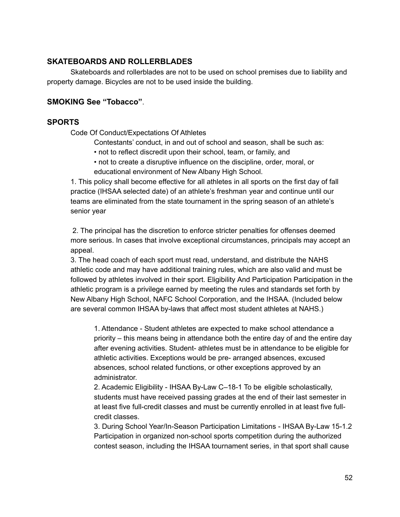### **SKATEBOARDS AND ROLLERBLADES**

Skateboards and rollerblades are not to be used on school premises due to liability and property damage. Bicycles are not to be used inside the building.

### **SMOKING See "Tobacco"**.

### **SPORTS**

Code Of Conduct/Expectations Of Athletes

Contestants' conduct, in and out of school and season, shall be such as:

- not to reflect discredit upon their school, team, or family, and
- not to create a disruptive influence on the discipline, order, moral, or educational environment of New Albany High School.

1. This policy shall become effective for all athletes in all sports on the first day of fall practice (IHSAA selected date) of an athlete's freshman year and continue until our teams are eliminated from the state tournament in the spring season of an athlete's senior year

2. The principal has the discretion to enforce stricter penalties for offenses deemed more serious. In cases that involve exceptional circumstances, principals may accept an appeal.

3. The head coach of each sport must read, understand, and distribute the NAHS athletic code and may have additional training rules, which are also valid and must be followed by athletes involved in their sport. Eligibility And Participation Participation in the athletic program is a privilege earned by meeting the rules and standards set forth by New Albany High School, NAFC School Corporation, and the IHSAA. (Included below are several common IHSAA by-laws that affect most student athletes at NAHS.)

1. Attendance - Student athletes are expected to make school attendance a priority – this means being in attendance both the entire day of and the entire day after evening activities. Student- athletes must be in attendance to be eligible for athletic activities. Exceptions would be pre- arranged absences, excused absences, school related functions, or other exceptions approved by an administrator.

2. Academic Eligibility - IHSAA By-Law C–18-1 To be eligible scholastically, students must have received passing grades at the end of their last semester in at least five full-credit classes and must be currently enrolled in at least five fullcredit classes.

3. During School Year/In-Season Participation Limitations - IHSAA By-Law 15-1.2 Participation in organized non-school sports competition during the authorized contest season, including the IHSAA tournament series, in that sport shall cause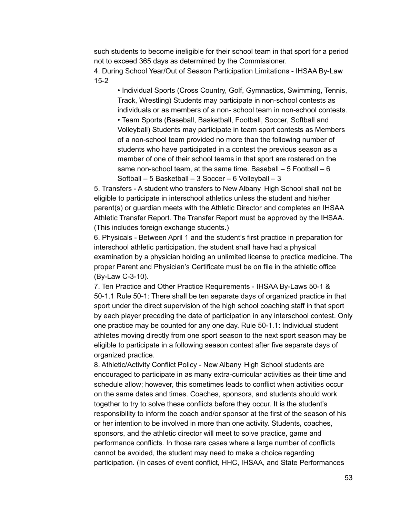such students to become ineligible for their school team in that sport for a period not to exceed 365 days as determined by the Commissioner. 4. During School Year/Out of Season Participation Limitations - IHSAA By-Law 15-2

• Individual Sports (Cross Country, Golf, Gymnastics, Swimming, Tennis, Track, Wrestling) Students may participate in non-school contests as individuals or as members of a non- school team in non-school contests.

• Team Sports (Baseball, Basketball, Football, Soccer, Softball and Volleyball) Students may participate in team sport contests as Members of a non-school team provided no more than the following number of students who have participated in a contest the previous season as a member of one of their school teams in that sport are rostered on the same non-school team, at the same time. Baseball  $-5$  Football  $-6$ Softball – 5 Basketball – 3 Soccer – 6 Volleyball – 3

5. Transfers - A student who transfers to New Albany High School shall not be eligible to participate in interschool athletics unless the student and his/her parent(s) or guardian meets with the Athletic Director and completes an IHSAA Athletic Transfer Report. The Transfer Report must be approved by the IHSAA. (This includes foreign exchange students.)

6. Physicals - Between April 1 and the student's first practice in preparation for interschool athletic participation, the student shall have had a physical examination by a physician holding an unlimited license to practice medicine. The proper Parent and Physician's Certificate must be on file in the athletic office (By-Law C-3-10).

7. Ten Practice and Other Practice Requirements - IHSAA By-Laws 50-1 & 50-1.1 Rule 50-1: There shall be ten separate days of organized practice in that sport under the direct supervision of the high school coaching staff in that sport by each player preceding the date of participation in any interschool contest. Only one practice may be counted for any one day. Rule 50-1.1: Individual student athletes moving directly from one sport season to the next sport season may be eligible to participate in a following season contest after five separate days of organized practice.

8. Athletic/Activity Conflict Policy - New Albany High School students are encouraged to participate in as many extra-curricular activities as their time and schedule allow; however, this sometimes leads to conflict when activities occur on the same dates and times. Coaches, sponsors, and students should work together to try to solve these conflicts before they occur. It is the student's responsibility to inform the coach and/or sponsor at the first of the season of his or her intention to be involved in more than one activity. Students, coaches, sponsors, and the athletic director will meet to solve practice, game and performance conflicts. In those rare cases where a large number of conflicts cannot be avoided, the student may need to make a choice regarding participation. (In cases of event conflict, HHC, IHSAA, and State Performances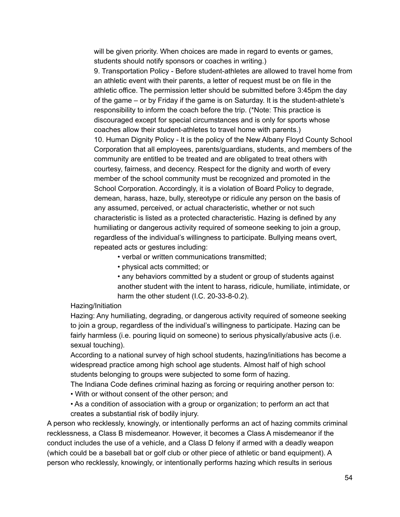will be given priority. When choices are made in regard to events or games, students should notify sponsors or coaches in writing.)

9. Transportation Policy - Before student-athletes are allowed to travel home from an athletic event with their parents, a letter of request must be on file in the athletic office. The permission letter should be submitted before 3:45pm the day of the game – or by Friday if the game is on Saturday. It is the student-athlete's responsibility to inform the coach before the trip. (\*Note: This practice is discouraged except for special circumstances and is only for sports whose coaches allow their student-athletes to travel home with parents.) 10. Human Dignity Policy - It is the policy of the New Albany Floyd County School Corporation that all employees, parents/guardians, students, and members of the community are entitled to be treated and are obligated to treat others with courtesy, fairness, and decency. Respect for the dignity and worth of every member of the school community must be recognized and promoted in the School Corporation. Accordingly, it is a violation of Board Policy to degrade, demean, harass, haze, bully, stereotype or ridicule any person on the basis of any assumed, perceived, or actual characteristic, whether or not such characteristic is listed as a protected characteristic. Hazing is defined by any humiliating or dangerous activity required of someone seeking to join a group, regardless of the individual's willingness to participate. Bullying means overt, repeated acts or gestures including:

• verbal or written communications transmitted;

• physical acts committed; or

• any behaviors committed by a student or group of students against another student with the intent to harass, ridicule, humiliate, intimidate, or harm the other student (I.C. 20-33-8-0.2).

### Hazing/Initiation

Hazing: Any humiliating, degrading, or dangerous activity required of someone seeking to join a group, regardless of the individual's willingness to participate. Hazing can be fairly harmless (i.e. pouring liquid on someone) to serious physically/abusive acts (i.e. sexual touching).

According to a national survey of high school students, hazing/initiations has become a widespread practice among high school age students. Almost half of high school students belonging to groups were subjected to some form of hazing.

The Indiana Code defines criminal hazing as forcing or requiring another person to:

• With or without consent of the other person; and

• As a condition of association with a group or organization; to perform an act that creates a substantial risk of bodily injury.

A person who recklessly, knowingly, or intentionally performs an act of hazing commits criminal recklessness, a Class B misdemeanor. However, it becomes a Class A misdemeanor if the conduct includes the use of a vehicle, and a Class D felony if armed with a deadly weapon (which could be a baseball bat or golf club or other piece of athletic or band equipment). A person who recklessly, knowingly, or intentionally performs hazing which results in serious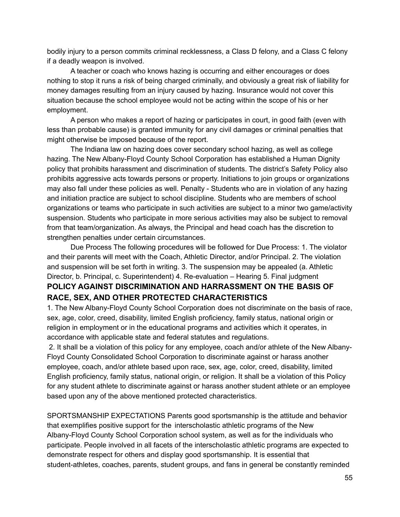bodily injury to a person commits criminal recklessness, a Class D felony, and a Class C felony if a deadly weapon is involved.

A teacher or coach who knows hazing is occurring and either encourages or does nothing to stop it runs a risk of being charged criminally, and obviously a great risk of liability for money damages resulting from an injury caused by hazing. Insurance would not cover this situation because the school employee would not be acting within the scope of his or her employment.

A person who makes a report of hazing or participates in court, in good faith (even with less than probable cause) is granted immunity for any civil damages or criminal penalties that might otherwise be imposed because of the report.

The Indiana law on hazing does cover secondary school hazing, as well as college hazing. The New Albany-Floyd County School Corporation has established a Human Dignity policy that prohibits harassment and discrimination of students. The district's Safety Policy also prohibits aggressive acts towards persons or property. Initiations to join groups or organizations may also fall under these policies as well. Penalty - Students who are in violation of any hazing and initiation practice are subject to school discipline. Students who are members of school organizations or teams who participate in such activities are subject to a minor two game/activity suspension. Students who participate in more serious activities may also be subject to removal from that team/organization. As always, the Principal and head coach has the discretion to strengthen penalties under certain circumstances.

Due Process The following procedures will be followed for Due Process: 1. The violator and their parents will meet with the Coach, Athletic Director, and/or Principal. 2. The violation and suspension will be set forth in writing. 3. The suspension may be appealed (a. Athletic Director, b. Principal, c. Superintendent) 4. Re-evaluation – Hearing 5. Final judgment **POLICY AGAINST DISCRIMINATION AND HARRASSMENT ON THE BASIS OF RACE, SEX, AND OTHER PROTECTED CHARACTERISTICS**

1. The New Albany-Floyd County School Corporation does not discriminate on the basis of race, sex, age, color, creed, disability, limited English proficiency, family status, national origin or religion in employment or in the educational programs and activities which it operates, in accordance with applicable state and federal statutes and regulations.

2. It shall be a violation of this policy for any employee, coach and/or athlete of the New Albany-Floyd County Consolidated School Corporation to discriminate against or harass another employee, coach, and/or athlete based upon race, sex, age, color, creed, disability, limited English proficiency, family status, national origin, or religion. It shall be a violation of this Policy for any student athlete to discriminate against or harass another student athlete or an employee based upon any of the above mentioned protected characteristics.

SPORTSMANSHIP EXPECTATIONS Parents good sportsmanship is the attitude and behavior that exemplifies positive support for the interscholastic athletic programs of the New Albany-Floyd County School Corporation school system, as well as for the individuals who participate. People involved in all facets of the interscholastic athletic programs are expected to demonstrate respect for others and display good sportsmanship. It is essential that student-athletes, coaches, parents, student groups, and fans in general be constantly reminded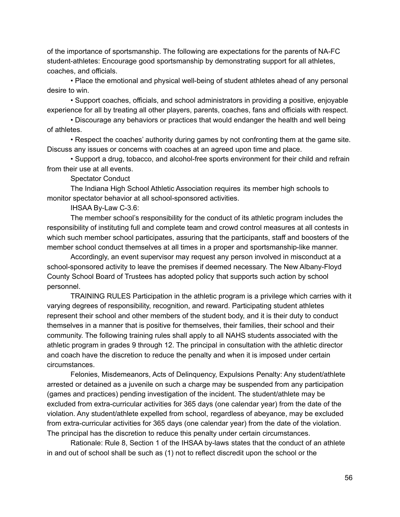of the importance of sportsmanship. The following are expectations for the parents of NA-FC student-athletes: Encourage good sportsmanship by demonstrating support for all athletes, coaches, and officials.

• Place the emotional and physical well-being of student athletes ahead of any personal desire to win.

• Support coaches, officials, and school administrators in providing a positive, enjoyable experience for all by treating all other players, parents, coaches, fans and officials with respect.

• Discourage any behaviors or practices that would endanger the health and well being of athletes.

• Respect the coaches' authority during games by not confronting them at the game site. Discuss any issues or concerns with coaches at an agreed upon time and place.

• Support a drug, tobacco, and alcohol-free sports environment for their child and refrain from their use at all events.

Spectator Conduct

The Indiana High School Athletic Association requires its member high schools to monitor spectator behavior at all school-sponsored activities.

IHSAA By-Law C-3.6:

The member school's responsibility for the conduct of its athletic program includes the responsibility of instituting full and complete team and crowd control measures at all contests in which such member school participates, assuring that the participants, staff and boosters of the member school conduct themselves at all times in a proper and sportsmanship-like manner.

Accordingly, an event supervisor may request any person involved in misconduct at a school-sponsored activity to leave the premises if deemed necessary. The New Albany-Floyd County School Board of Trustees has adopted policy that supports such action by school personnel.

TRAINING RULES Participation in the athletic program is a privilege which carries with it varying degrees of responsibility, recognition, and reward. Participating student athletes represent their school and other members of the student body, and it is their duty to conduct themselves in a manner that is positive for themselves, their families, their school and their community. The following training rules shall apply to all NAHS students associated with the athletic program in grades 9 through 12. The principal in consultation with the athletic director and coach have the discretion to reduce the penalty and when it is imposed under certain circumstances.

Felonies, Misdemeanors, Acts of Delinquency, Expulsions Penalty: Any student/athlete arrested or detained as a juvenile on such a charge may be suspended from any participation (games and practices) pending investigation of the incident. The student/athlete may be excluded from extra-curricular activities for 365 days (one calendar year) from the date of the violation. Any student/athlete expelled from school, regardless of abeyance, may be excluded from extra-curricular activities for 365 days (one calendar year) from the date of the violation. The principal has the discretion to reduce this penalty under certain circumstances.

Rationale: Rule 8, Section 1 of the IHSAA by-laws states that the conduct of an athlete in and out of school shall be such as (1) not to reflect discredit upon the school or the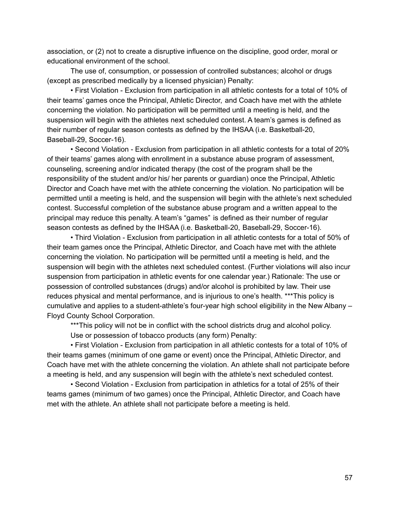association, or (2) not to create a disruptive influence on the discipline, good order, moral or educational environment of the school.

The use of, consumption, or possession of controlled substances; alcohol or drugs (except as prescribed medically by a licensed physician) Penalty:

• First Violation - Exclusion from participation in all athletic contests for a total of 10% of their teams' games once the Principal, Athletic Director, and Coach have met with the athlete concerning the violation. No participation will be permitted until a meeting is held, and the suspension will begin with the athletes next scheduled contest. A team's games is defined as their number of regular season contests as defined by the IHSAA (i.e. Basketball-20, Baseball-29, Soccer-16).

• Second Violation - Exclusion from participation in all athletic contests for a total of 20% of their teams' games along with enrollment in a substance abuse program of assessment, counseling, screening and/or indicated therapy (the cost of the program shall be the responsibility of the student and/or his/ her parents or guardian) once the Principal, Athletic Director and Coach have met with the athlete concerning the violation. No participation will be permitted until a meeting is held, and the suspension will begin with the athlete's next scheduled contest. Successful completion of the substance abuse program and a written appeal to the principal may reduce this penalty. A team's "games" is defined as their number of regular season contests as defined by the IHSAA (i.e. Basketball-20, Baseball-29, Soccer-16).

• Third Violation - Exclusion from participation in all athletic contests for a total of 50% of their team games once the Principal, Athletic Director, and Coach have met with the athlete concerning the violation. No participation will be permitted until a meeting is held, and the suspension will begin with the athletes next scheduled contest. (Further violations will also incur suspension from participation in athletic events for one calendar year.) Rationale: The use or possession of controlled substances (drugs) and/or alcohol is prohibited by law. Their use reduces physical and mental performance, and is injurious to one's health. \*\*\*This policy is cumulative and applies to a student-athlete's four-year high school eligibility in the New Albany – Floyd County School Corporation.

\*\*\*This policy will not be in conflict with the school districts drug and alcohol policy.

Use or possession of tobacco products (any form) Penalty:

• First Violation - Exclusion from participation in all athletic contests for a total of 10% of their teams games (minimum of one game or event) once the Principal, Athletic Director, and Coach have met with the athlete concerning the violation. An athlete shall not participate before a meeting is held, and any suspension will begin with the athlete's next scheduled contest.

• Second Violation - Exclusion from participation in athletics for a total of 25% of their teams games (minimum of two games) once the Principal, Athletic Director, and Coach have met with the athlete. An athlete shall not participate before a meeting is held.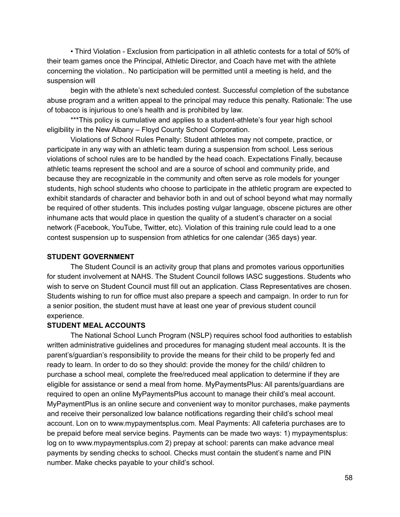• Third Violation - Exclusion from participation in all athletic contests for a total of 50% of their team games once the Principal, Athletic Director, and Coach have met with the athlete concerning the violation.. No participation will be permitted until a meeting is held, and the suspension will

begin with the athlete's next scheduled contest. Successful completion of the substance abuse program and a written appeal to the principal may reduce this penalty. Rationale: The use of tobacco is injurious to one's health and is prohibited by law.

\*\*\*This policy is cumulative and applies to a student-athlete's four year high school eligibility in the New Albany – Floyd County School Corporation.

Violations of School Rules Penalty: Student athletes may not compete, practice, or participate in any way with an athletic team during a suspension from school. Less serious violations of school rules are to be handled by the head coach. Expectations Finally, because athletic teams represent the school and are a source of school and community pride, and because they are recognizable in the community and often serve as role models for younger students, high school students who choose to participate in the athletic program are expected to exhibit standards of character and behavior both in and out of school beyond what may normally be required of other students. This includes posting vulgar language, obscene pictures are other inhumane acts that would place in question the quality of a student's character on a social network (Facebook, YouTube, Twitter, etc). Violation of this training rule could lead to a one contest suspension up to suspension from athletics for one calendar (365 days) year.

#### **STUDENT GOVERNMENT**

The Student Council is an activity group that plans and promotes various opportunities for student involvement at NAHS. The Student Council follows IASC suggestions. Students who wish to serve on Student Council must fill out an application. Class Representatives are chosen. Students wishing to run for office must also prepare a speech and campaign. In order to run for a senior position, the student must have at least one year of previous student council experience.

#### **STUDENT MEAL ACCOUNTS**

The National School Lunch Program (NSLP) requires school food authorities to establish written administrative guidelines and procedures for managing student meal accounts. It is the parent's/guardian's responsibility to provide the means for their child to be properly fed and ready to learn. In order to do so they should: provide the money for the child/ children to purchase a school meal, complete the free/reduced meal application to determine if they are eligible for assistance or send a meal from home. MyPaymentsPlus: All parents/guardians are required to open an online MyPaymentsPlus account to manage their child's meal account. MyPaymentPlus is an online secure and convenient way to monitor purchases, make payments and receive their personalized low balance notifications regarding their child's school meal account. Lon on to www.mypaymentsplus.com. Meal Payments: All cafeteria purchases are to be prepaid before meal service begins. Payments can be made two ways: 1) mypaymentsplus: log on to www.mypaymentsplus.com 2) prepay at school: parents can make advance meal payments by sending checks to school. Checks must contain the student's name and PIN number. Make checks payable to your child's school.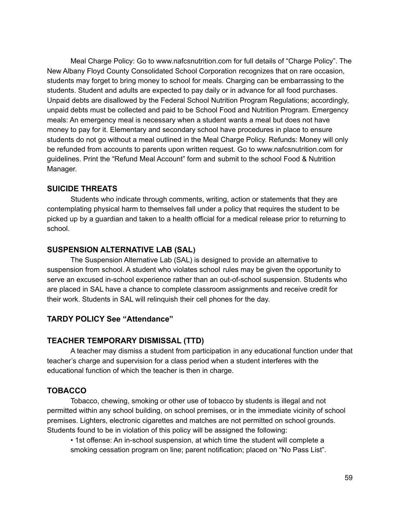Meal Charge Policy: Go to www.nafcsnutrition.com for full details of "Charge Policy". The New Albany Floyd County Consolidated School Corporation recognizes that on rare occasion, students may forget to bring money to school for meals. Charging can be embarrassing to the students. Student and adults are expected to pay daily or in advance for all food purchases. Unpaid debts are disallowed by the Federal School Nutrition Program Regulations; accordingly, unpaid debts must be collected and paid to be School Food and Nutrition Program. Emergency meals: An emergency meal is necessary when a student wants a meal but does not have money to pay for it. Elementary and secondary school have procedures in place to ensure students do not go without a meal outlined in the Meal Charge Policy. Refunds: Money will only be refunded from accounts to parents upon written request. Go to www.nafcsnutrition.com for guidelines. Print the "Refund Meal Account" form and submit to the school Food & Nutrition Manager.

#### **SUICIDE THREATS**

Students who indicate through comments, writing, action or statements that they are contemplating physical harm to themselves fall under a policy that requires the student to be picked up by a guardian and taken to a health official for a medical release prior to returning to school.

## **SUSPENSION ALTERNATIVE LAB (SAL)**

The Suspension Alternative Lab (SAL) is designed to provide an alternative to suspension from school. A student who violates school rules may be given the opportunity to serve an excused in-school experience rather than an out-of-school suspension. Students who are placed in SAL have a chance to complete classroom assignments and receive credit for their work. Students in SAL will relinquish their cell phones for the day.

## **TARDY POLICY See "Attendance"**

## **TEACHER TEMPORARY DISMISSAL (TTD)**

A teacher may dismiss a student from participation in any educational function under that teacher's charge and supervision for a class period when a student interferes with the educational function of which the teacher is then in charge.

### **TOBACCO**

Tobacco, chewing, smoking or other use of tobacco by students is illegal and not permitted within any school building, on school premises, or in the immediate vicinity of school premises. Lighters, electronic cigarettes and matches are not permitted on school grounds. Students found to be in violation of this policy will be assigned the following:

• 1st offense: An in-school suspension, at which time the student will complete a smoking cessation program on line; parent notification; placed on "No Pass List".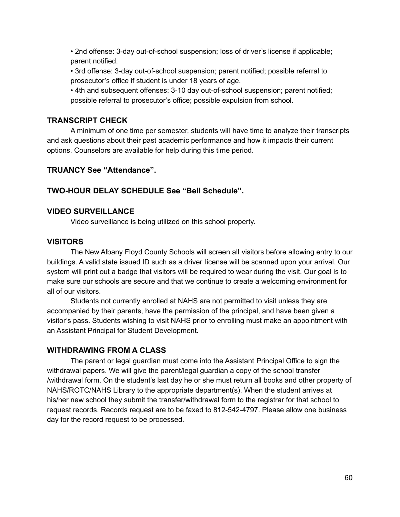• 2nd offense: 3-day out-of-school suspension; loss of driver's license if applicable; parent notified.

• 3rd offense: 3-day out-of-school suspension; parent notified; possible referral to prosecutor's office if student is under 18 years of age.

• 4th and subsequent offenses: 3-10 day out-of-school suspension; parent notified; possible referral to prosecutor's office; possible expulsion from school.

### **TRANSCRIPT CHECK**

A minimum of one time per semester, students will have time to analyze their transcripts and ask questions about their past academic performance and how it impacts their current options. Counselors are available for help during this time period.

## **TRUANCY See "Attendance".**

## **TWO-HOUR DELAY SCHEDULE See "Bell Schedule".**

## **VIDEO SURVEILLANCE**

Video surveillance is being utilized on this school property.

### **VISITORS**

The New Albany Floyd County Schools will screen all visitors before allowing entry to our buildings. A valid state issued ID such as a driver license will be scanned upon your arrival. Our system will print out a badge that visitors will be required to wear during the visit. Our goal is to make sure our schools are secure and that we continue to create a welcoming environment for all of our visitors.

Students not currently enrolled at NAHS are not permitted to visit unless they are accompanied by their parents, have the permission of the principal, and have been given a visitor's pass. Students wishing to visit NAHS prior to enrolling must make an appointment with an Assistant Principal for Student Development.

### **WITHDRAWING FROM A CLASS**

The parent or legal guardian must come into the Assistant Principal Office to sign the withdrawal papers. We will give the parent/legal guardian a copy of the school transfer /withdrawal form. On the student's last day he or she must return all books and other property of NAHS/ROTC/NAHS Library to the appropriate department(s). When the student arrives at his/her new school they submit the transfer/withdrawal form to the registrar for that school to request records. Records request are to be faxed to 812-542-4797. Please allow one business day for the record request to be processed.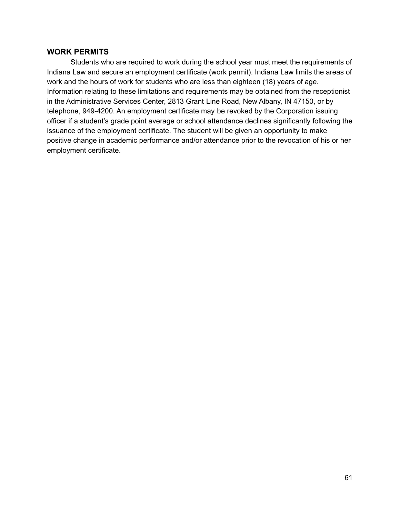#### **WORK PERMITS**

Students who are required to work during the school year must meet the requirements of Indiana Law and secure an employment certificate (work permit). Indiana Law limits the areas of work and the hours of work for students who are less than eighteen (18) years of age. Information relating to these limitations and requirements may be obtained from the receptionist in the Administrative Services Center, 2813 Grant Line Road, New Albany, IN 47150, or by telephone, 949-4200. An employment certificate may be revoked by the Corporation issuing officer if a student's grade point average or school attendance declines significantly following the issuance of the employment certificate. The student will be given an opportunity to make positive change in academic performance and/or attendance prior to the revocation of his or her employment certificate.